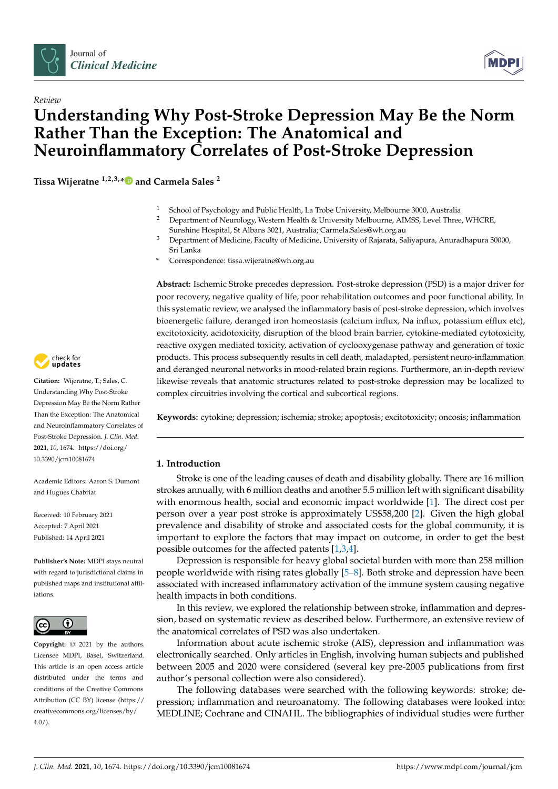



# *Review* **Understanding Why Post-Stroke Depression May Be the Norm Rather Than the Exception: The Anatomical and Neuroinflammatory Correlates of Post-Stroke Depression**

**Tissa Wijeratne 1,2,3,[\\*](https://orcid.org/0000-0002-1701-7111) and Carmela Sales <sup>2</sup>**

- 1 School of Psychology and Public Health, La Trobe University, Melbourne 3000, Australia<br>2 Department of Neurology Western Health & University Melbourne, AIMSS, Loyel Three
- <sup>2</sup> Department of Neurology, Western Health & University Melbourne, AIMSS, Level Three, WHCRE, Sunshine Hospital, St Albans 3021, Australia; Carmela.Sales@wh.org.au
- <sup>3</sup> Department of Medicine, Faculty of Medicine, University of Rajarata, Saliyapura, Anuradhapura 50000, Sri Lanka
- **\*** Correspondence: tissa.wijeratne@wh.org.au

**Abstract:** Ischemic Stroke precedes depression. Post-stroke depression (PSD) is a major driver for poor recovery, negative quality of life, poor rehabilitation outcomes and poor functional ability. In this systematic review, we analysed the inflammatory basis of post-stroke depression, which involves bioenergetic failure, deranged iron homeostasis (calcium influx, Na influx, potassium efflux etc), excitotoxicity, acidotoxicity, disruption of the blood brain barrier, cytokine-mediated cytotoxicity, reactive oxygen mediated toxicity, activation of cyclooxygenase pathway and generation of toxic products. This process subsequently results in cell death, maladapted, persistent neuro-inflammation and deranged neuronal networks in mood-related brain regions. Furthermore, an in-depth review likewise reveals that anatomic structures related to post-stroke depression may be localized to complex circuitries involving the cortical and subcortical regions.

**Keywords:** cytokine; depression; ischemia; stroke; apoptosis; excitotoxicity; oncosis; inflammation

# **1. Introduction**

Stroke is one of the leading causes of death and disability globally. There are 16 million strokes annually, with 6 million deaths and another 5.5 million left with significant disability with enormous health, social and economic impact worldwide [\[1\]](#page-12-0). The direct cost per person over a year post stroke is approximately US\$58,200 [\[2\]](#page-12-1). Given the high global prevalence and disability of stroke and associated costs for the global community, it is important to explore the factors that may impact on outcome, in order to get the best possible outcomes for the affected patents [\[1,](#page-12-0)[3](#page-12-2)[,4\]](#page-12-3).

Depression is responsible for heavy global societal burden with more than 258 million people worldwide with rising rates globally [\[5](#page-12-4)[–8\]](#page-12-5). Both stroke and depression have been associated with increased inflammatory activation of the immune system causing negative health impacts in both conditions.

In this review, we explored the relationship between stroke, inflammation and depression, based on systematic review as described below. Furthermore, an extensive review of the anatomical correlates of PSD was also undertaken.

Information about acute ischemic stroke (AIS), depression and inflammation was electronically searched. Only articles in English, involving human subjects and published between 2005 and 2020 were considered (several key pre-2005 publications from first author's personal collection were also considered).

The following databases were searched with the following keywords: stroke; depression; inflammation and neuroanatomy. The following databases were looked into: MEDLINE; Cochrane and CINAHL. The bibliographies of individual studies were further



**Citation:** Wijeratne, T.; Sales, C. Understanding Why Post-Stroke Depression May Be the Norm Rather Than the Exception: The Anatomical and Neuroinflammatory Correlates of Post-Stroke Depression. *J. Clin. Med.* **2021**, *10*, 1674. [https://doi.org/](https://doi.org/10.3390/jcm10081674) [10.3390/jcm10081674](https://doi.org/10.3390/jcm10081674)

Academic Editors: Aaron S. Dumont and Hugues Chabriat

Received: 10 February 2021 Accepted: 7 April 2021 Published: 14 April 2021

**Publisher's Note:** MDPI stays neutral with regard to jurisdictional claims in published maps and institutional affiliations.



**Copyright:** © 2021 by the authors. Licensee MDPI, Basel, Switzerland. This article is an open access article distributed under the terms and conditions of the Creative Commons Attribution (CC BY) license (https:/[/](https://creativecommons.org/licenses/by/4.0/) [creativecommons.org/licenses/by/](https://creativecommons.org/licenses/by/4.0/)  $4.0/$ ).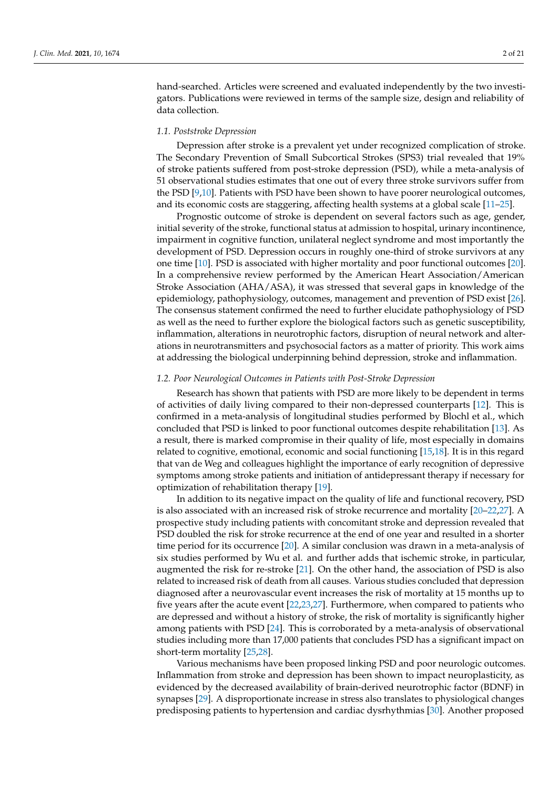hand-searched. Articles were screened and evaluated independently by the two investigators. Publications were reviewed in terms of the sample size, design and reliability of data collection.

#### *1.1. Poststroke Depression*

Depression after stroke is a prevalent yet under recognized complication of stroke. The Secondary Prevention of Small Subcortical Strokes (SPS3) trial revealed that 19% of stroke patients suffered from post-stroke depression (PSD), while a meta-analysis of 51 observational studies estimates that one out of every three stroke survivors suffer from the PSD [\[9](#page-12-6)[,10\]](#page-12-7). Patients with PSD have been shown to have poorer neurological outcomes, and its economic costs are staggering, affecting health systems at a global scale [\[11–](#page-12-8)[25\]](#page-13-0).

Prognostic outcome of stroke is dependent on several factors such as age, gender, initial severity of the stroke, functional status at admission to hospital, urinary incontinence, impairment in cognitive function, unilateral neglect syndrome and most importantly the development of PSD. Depression occurs in roughly one-third of stroke survivors at any one time [\[10\]](#page-12-7). PSD is associated with higher mortality and poor functional outcomes [\[20\]](#page-12-9). In a comprehensive review performed by the American Heart Association/American Stroke Association (AHA/ASA), it was stressed that several gaps in knowledge of the epidemiology, pathophysiology, outcomes, management and prevention of PSD exist [\[26\]](#page-13-1). The consensus statement confirmed the need to further elucidate pathophysiology of PSD as well as the need to further explore the biological factors such as genetic susceptibility, inflammation, alterations in neurotrophic factors, disruption of neural network and alterations in neurotransmitters and psychosocial factors as a matter of priority. This work aims at addressing the biological underpinning behind depression, stroke and inflammation.

# *1.2. Poor Neurological Outcomes in Patients with Post-Stroke Depression*

Research has shown that patients with PSD are more likely to be dependent in terms of activities of daily living compared to their non-depressed counterparts [\[12\]](#page-12-10). This is confirmed in a meta-analysis of longitudinal studies performed by Blochl et al., which concluded that PSD is linked to poor functional outcomes despite rehabilitation [\[13\]](#page-12-11). As a result, there is marked compromise in their quality of life, most especially in domains related to cognitive, emotional, economic and social functioning [\[15](#page-12-12)[,18\]](#page-12-13). It is in this regard that van de Weg and colleagues highlight the importance of early recognition of depressive symptoms among stroke patients and initiation of antidepressant therapy if necessary for optimization of rehabilitation therapy [\[19\]](#page-12-14).

In addition to its negative impact on the quality of life and functional recovery, PSD is also associated with an increased risk of stroke recurrence and mortality [\[20](#page-12-9)[–22](#page-12-15)[,27\]](#page-13-2). A prospective study including patients with concomitant stroke and depression revealed that PSD doubled the risk for stroke recurrence at the end of one year and resulted in a shorter time period for its occurrence [\[20\]](#page-12-9). A similar conclusion was drawn in a meta-analysis of six studies performed by Wu et al. and further adds that ischemic stroke, in particular, augmented the risk for re-stroke [\[21\]](#page-12-16). On the other hand, the association of PSD is also related to increased risk of death from all causes. Various studies concluded that depression diagnosed after a neurovascular event increases the risk of mortality at 15 months up to five years after the acute event [\[22,](#page-12-15)[23,](#page-13-3)[27\]](#page-13-2). Furthermore, when compared to patients who are depressed and without a history of stroke, the risk of mortality is significantly higher among patients with PSD [\[24\]](#page-13-4). This is corroborated by a meta-analysis of observational studies including more than 17,000 patients that concludes PSD has a significant impact on short-term mortality [\[25,](#page-13-0)[28\]](#page-13-5).

Various mechanisms have been proposed linking PSD and poor neurologic outcomes. Inflammation from stroke and depression has been shown to impact neuroplasticity, as evidenced by the decreased availability of brain-derived neurotrophic factor (BDNF) in synapses [\[29\]](#page-13-6). A disproportionate increase in stress also translates to physiological changes predisposing patients to hypertension and cardiac dysrhythmias [\[30\]](#page-13-7). Another proposed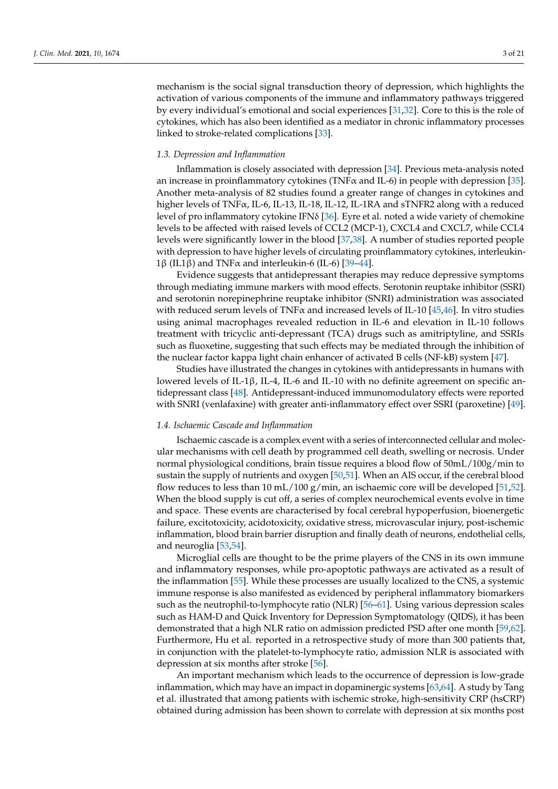mechanism is the social signal transduction theory of depression, which highlights the activation of various components of the immune and inflammatory pathways triggered by every individual's emotional and social experiences [\[31,](#page-13-8)[32\]](#page-13-9). Core to this is the role of cytokines, which has also been identified as a mediator in chronic inflammatory processes linked to stroke-related complications [\[33\]](#page-13-10).

## *1.3. Depression and Inflammation*

Inflammation is closely associated with depression [\[34\]](#page-13-11). Previous meta-analysis noted an increase in proinflammatory cytokines (TNF $\alpha$  and IL-6) in people with depression [\[35\]](#page-13-12). Another meta-analysis of 82 studies found a greater range of changes in cytokines and higher levels of TNFα, IL-6, IL-13, IL-18, IL-12, IL-1RA and sTNFR2 along with a reduced level of pro inflammatory cytokine IFNδ [\[36\]](#page-13-13). Eyre et al. noted a wide variety of chemokine levels to be affected with raised levels of CCL2 (MCP-1), CXCL4 and CXCL7, while CCL4 levels were significantly lower in the blood [\[37,](#page-13-14)[38\]](#page-13-15). A number of studies reported people with depression to have higher levels of circulating proinflammatory cytokines, interleukin-1β (IL1β) and TNF $\alpha$  and interleukin-6 (IL-6) [\[39](#page-13-16)[–44\]](#page-13-17).

Evidence suggests that antidepressant therapies may reduce depressive symptoms through mediating immune markers with mood effects. Serotonin reuptake inhibitor (SSRI) and serotonin norepinephrine reuptake inhibitor (SNRI) administration was associated with reduced serum levels of TNF $\alpha$  and increased levels of IL-10 [\[45](#page-13-18)[,46\]](#page-13-19). In vitro studies using animal macrophages revealed reduction in IL-6 and elevation in IL-10 follows treatment with tricyclic anti-depressant (TCA) drugs such as amitriptyline, and SSRIs such as fluoxetine, suggesting that such effects may be mediated through the inhibition of the nuclear factor kappa light chain enhancer of activated B cells (NF-kB) system [\[47\]](#page-13-20).

Studies have illustrated the changes in cytokines with antidepressants in humans with lowered levels of IL-1β, IL-4, IL-6 and IL-10 with no definite agreement on specific antidepressant class [\[48\]](#page-13-21). Antidepressant-induced immunomodulatory effects were reported with SNRI (venlafaxine) with greater anti-inflammatory effect over SSRI (paroxetine) [\[49\]](#page-14-0).

# *1.4. Ischaemic Cascade and Inflammation*

Ischaemic cascade is a complex event with a series of interconnected cellular and molecular mechanisms with cell death by programmed cell death, swelling or necrosis. Under normal physiological conditions, brain tissue requires a blood flow of 50mL/100g/min to sustain the supply of nutrients and oxygen [\[50](#page-14-1)[,51\]](#page-14-2). When an AIS occur, if the cerebral blood flow reduces to less than 10 mL/100 g/min, an ischaemic core will be developed [\[51,](#page-14-2)[52\]](#page-14-3). When the blood supply is cut off, a series of complex neurochemical events evolve in time and space. These events are characterised by focal cerebral hypoperfusion, bioenergetic failure, excitotoxicity, acidotoxicity, oxidative stress, microvascular injury, post-ischemic inflammation, blood brain barrier disruption and finally death of neurons, endothelial cells, and neuroglia [\[53](#page-14-4)[,54\]](#page-14-5).

Microglial cells are thought to be the prime players of the CNS in its own immune and inflammatory responses, while pro-apoptotic pathways are activated as a result of the inflammation [\[55\]](#page-14-6). While these processes are usually localized to the CNS, a systemic immune response is also manifested as evidenced by peripheral inflammatory biomarkers such as the neutrophil-to-lymphocyte ratio (NLR) [\[56–](#page-14-7)[61\]](#page-14-8). Using various depression scales such as HAM-D and Quick Inventory for Depression Symptomatology (QIDS), it has been demonstrated that a high NLR ratio on admission predicted PSD after one month [\[59,](#page-14-9)[62\]](#page-14-10). Furthermore, Hu et al. reported in a retrospective study of more than 300 patients that, in conjunction with the platelet-to-lymphocyte ratio, admission NLR is associated with depression at six months after stroke [\[56\]](#page-14-7).

An important mechanism which leads to the occurrence of depression is low-grade inflammation, which may have an impact in dopaminergic systems [\[63](#page-14-11)[,64\]](#page-14-12). A study by Tang et al. illustrated that among patients with ischemic stroke, high-sensitivity CRP (hsCRP) obtained during admission has been shown to correlate with depression at six months post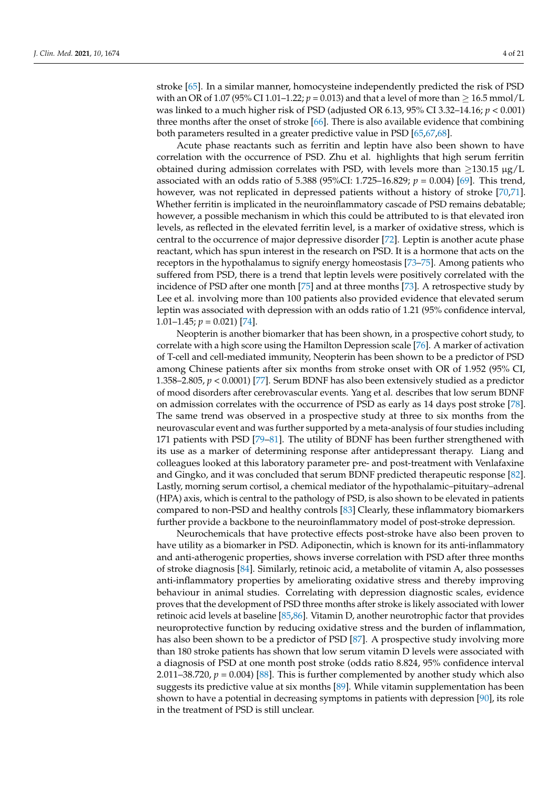stroke [\[65\]](#page-14-13). In a similar manner, homocysteine independently predicted the risk of PSD with an OR of 1.07 (95% CI 1.01–1.22;  $p = 0.013$ ) and that a level of more than  $> 16.5$  mmol/L was linked to a much higher risk of PSD (adjusted OR 6.13, 95% CI 3.32–14.16; *p* < 0.001) three months after the onset of stroke [\[66\]](#page-14-14). There is also available evidence that combining both parameters resulted in a greater predictive value in PSD [\[65](#page-14-13)[,67](#page-14-15)[,68\]](#page-14-16).

Acute phase reactants such as ferritin and leptin have also been shown to have correlation with the occurrence of PSD. Zhu et al. highlights that high serum ferritin obtained during admission correlates with PSD, with levels more than  $\geq$ 130.15 µg/L associated with an odds ratio of 5.388 (95%CI: 1.725–16.829; *p* = 0.004) [\[69\]](#page-14-17). This trend, however, was not replicated in depressed patients without a history of stroke [\[70,](#page-14-18)[71\]](#page-14-19). Whether ferritin is implicated in the neuroinflammatory cascade of PSD remains debatable; however, a possible mechanism in which this could be attributed to is that elevated iron levels, as reflected in the elevated ferritin level, is a marker of oxidative stress, which is central to the occurrence of major depressive disorder [\[72\]](#page-14-20). Leptin is another acute phase reactant, which has spun interest in the research on PSD. It is a hormone that acts on the receptors in the hypothalamus to signify energy homeostasis [\[73](#page-14-21)[–75\]](#page-15-0). Among patients who suffered from PSD, there is a trend that leptin levels were positively correlated with the incidence of PSD after one month [\[75\]](#page-15-0) and at three months [\[73\]](#page-14-21). A retrospective study by Lee et al. involving more than 100 patients also provided evidence that elevated serum leptin was associated with depression with an odds ratio of 1.21 (95% confidence interval, 1.01–1.45;  $p = 0.021$  [\[74\]](#page-15-1).

Neopterin is another biomarker that has been shown, in a prospective cohort study, to correlate with a high score using the Hamilton Depression scale [\[76\]](#page-15-2). A marker of activation of T-cell and cell-mediated immunity, Neopterin has been shown to be a predictor of PSD among Chinese patients after six months from stroke onset with OR of 1.952 (95% CI, 1.358–2.805, *p* < 0.0001) [\[77\]](#page-15-3). Serum BDNF has also been extensively studied as a predictor of mood disorders after cerebrovascular events. Yang et al. describes that low serum BDNF on admission correlates with the occurrence of PSD as early as 14 days post stroke [\[78\]](#page-15-4). The same trend was observed in a prospective study at three to six months from the neurovascular event and was further supported by a meta-analysis of four studies including 171 patients with PSD [\[79](#page-15-5)[–81\]](#page-15-6). The utility of BDNF has been further strengthened with its use as a marker of determining response after antidepressant therapy. Liang and colleagues looked at this laboratory parameter pre- and post-treatment with Venlafaxine and Gingko, and it was concluded that serum BDNF predicted therapeutic response [\[82\]](#page-15-7). Lastly, morning serum cortisol, a chemical mediator of the hypothalamic–pituitary–adrenal (HPA) axis, which is central to the pathology of PSD, is also shown to be elevated in patients compared to non-PSD and healthy controls [\[83\]](#page-15-8) Clearly, these inflammatory biomarkers further provide a backbone to the neuroinflammatory model of post-stroke depression.

Neurochemicals that have protective effects post-stroke have also been proven to have utility as a biomarker in PSD. Adiponectin, which is known for its anti-inflammatory and anti-atherogenic properties, shows inverse correlation with PSD after three months of stroke diagnosis [\[84\]](#page-15-9). Similarly, retinoic acid, a metabolite of vitamin A, also possesses anti-inflammatory properties by ameliorating oxidative stress and thereby improving behaviour in animal studies. Correlating with depression diagnostic scales, evidence proves that the development of PSD three months after stroke is likely associated with lower retinoic acid levels at baseline [\[85,](#page-15-10)[86\]](#page-15-11). Vitamin D, another neurotrophic factor that provides neuroprotective function by reducing oxidative stress and the burden of inflammation, has also been shown to be a predictor of PSD [\[87\]](#page-15-12). A prospective study involving more than 180 stroke patients has shown that low serum vitamin D levels were associated with a diagnosis of PSD at one month post stroke (odds ratio 8.824, 95% confidence interval 2.011–38.720,  $p = 0.004$  [\[88\]](#page-15-13). This is further complemented by another study which also suggests its predictive value at six months [\[89\]](#page-15-14). While vitamin supplementation has been shown to have a potential in decreasing symptoms in patients with depression [\[90\]](#page-15-15), its role in the treatment of PSD is still unclear.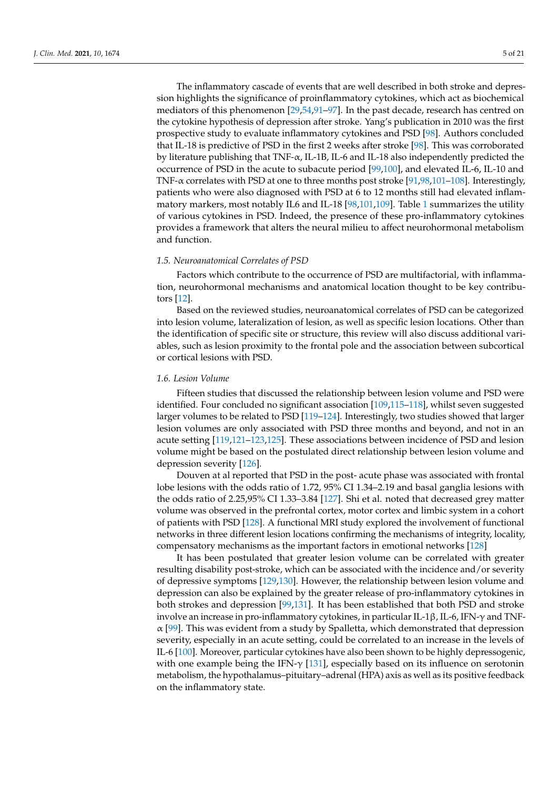The inflammatory cascade of events that are well described in both stroke and depression highlights the significance of proinflammatory cytokines, which act as biochemical mediators of this phenomenon [\[29](#page-13-6)[,54](#page-14-5)[,91–](#page-15-16)[97\]](#page-15-17). In the past decade, research has centred on the cytokine hypothesis of depression after stroke. Yang's publication in 2010 was the first prospective study to evaluate inflammatory cytokines and PSD [\[98\]](#page-15-18). Authors concluded that IL-18 is predictive of PSD in the first 2 weeks after stroke [\[98\]](#page-15-18). This was corroborated by literature publishing that TNF-α, IL-1B, IL-6 and IL-18 also independently predicted the occurrence of PSD in the acute to subacute period [\[99,](#page-15-19)[100\]](#page-15-20), and elevated IL-6, IL-10 and TNF-α correlates with PSD at one to three months post stroke [\[91,](#page-15-16)[98,](#page-15-18)[101–](#page-16-0)[108\]](#page-16-1). Interestingly, patients who were also diagnosed with PSD at 6 to 12 months still had elevated inflammatory markers, most notably IL6 and IL-18 [\[98,](#page-15-18)[101](#page-16-0)[,109\]](#page-16-2). Table [1](#page-5-0) summarizes the utility of various cytokines in PSD. Indeed, the presence of these pro-inflammatory cytokines provides a framework that alters the neural milieu to affect neurohormonal metabolism and function.

## *1.5. Neuroanatomical Correlates of PSD*

Factors which contribute to the occurrence of PSD are multifactorial, with inflammation, neurohormonal mechanisms and anatomical location thought to be key contributors [\[12\]](#page-12-10).

Based on the reviewed studies, neuroanatomical correlates of PSD can be categorized into lesion volume, lateralization of lesion, as well as specific lesion locations. Other than the identification of specific site or structure, this review will also discuss additional variables, such as lesion proximity to the frontal pole and the association between subcortical or cortical lesions with PSD.

## *1.6. Lesion Volume*

Fifteen studies that discussed the relationship between lesion volume and PSD were identified. Four concluded no significant association [\[109](#page-16-2)[,115](#page-16-3)[–118\]](#page-16-4), whilst seven suggested larger volumes to be related to PSD [\[119](#page-16-5)[–124\]](#page-16-6). Interestingly, two studies showed that larger lesion volumes are only associated with PSD three months and beyond, and not in an acute setting [\[119](#page-16-5)[,121](#page-16-7)[–123](#page-16-8)[,125\]](#page-16-9). These associations between incidence of PSD and lesion volume might be based on the postulated direct relationship between lesion volume and depression severity [\[126\]](#page-16-10).

Douven at al reported that PSD in the post- acute phase was associated with frontal lobe lesions with the odds ratio of 1.72, 95% CI 1.34–2.19 and basal ganglia lesions with the odds ratio of 2.25,95% CI 1.33–3.84 [\[127\]](#page-17-0). Shi et al. noted that decreased grey matter volume was observed in the prefrontal cortex, motor cortex and limbic system in a cohort of patients with PSD [\[128\]](#page-17-1). A functional MRI study explored the involvement of functional networks in three different lesion locations confirming the mechanisms of integrity, locality, compensatory mechanisms as the important factors in emotional networks [\[128\]](#page-17-1)

It has been postulated that greater lesion volume can be correlated with greater resulting disability post-stroke, which can be associated with the incidence and/or severity of depressive symptoms [\[129,](#page-17-2)[130\]](#page-17-3). However, the relationship between lesion volume and depression can also be explained by the greater release of pro-inflammatory cytokines in both strokes and depression [\[99,](#page-15-19)[131\]](#page-17-4). It has been established that both PSD and stroke involve an increase in pro-inflammatory cytokines, in particular IL-1β, IL-6, IFN-γ and TNF- $\alpha$  [\[99\]](#page-15-19). This was evident from a study by Spalletta, which demonstrated that depression severity, especially in an acute setting, could be correlated to an increase in the levels of IL-6 [\[100\]](#page-15-20). Moreover, particular cytokines have also been shown to be highly depressogenic, with one example being the IFN- $\gamma$  [\[131\]](#page-17-4), especially based on its influence on serotonin metabolism, the hypothalamus–pituitary–adrenal (HPA) axis as well as its positive feedback on the inflammatory state.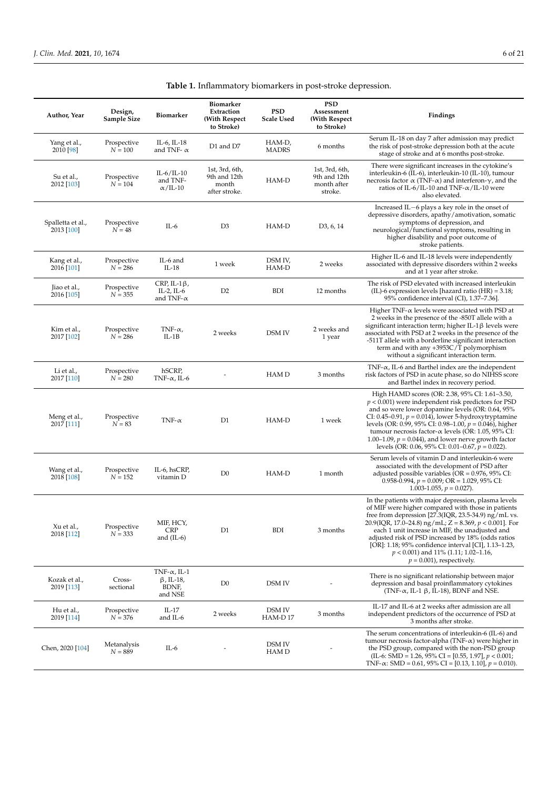<span id="page-5-0"></span>

| Author, Year                    | Design,<br>Sample Size   | Biomarker                                                    | Biomarker<br>Extraction<br>(With Respect<br>to Stroke)   | <b>PSD</b><br><b>Scale Used</b> | <b>PSD</b><br>Assessment<br>(With Respect)<br>to Stroke) | Findings                                                                                                                                                                                                                                                                                                                                                                                                                                                                   |
|---------------------------------|--------------------------|--------------------------------------------------------------|----------------------------------------------------------|---------------------------------|----------------------------------------------------------|----------------------------------------------------------------------------------------------------------------------------------------------------------------------------------------------------------------------------------------------------------------------------------------------------------------------------------------------------------------------------------------------------------------------------------------------------------------------------|
| Yang et al.,<br>2010 [98]       | Prospective<br>$N = 100$ | IL-6, IL-18<br>and TNF- $\alpha$                             | D1 and D7                                                | HAM-D,<br><b>MADRS</b>          | 6 months                                                 | Serum IL-18 on day 7 after admission may predict<br>the risk of post-stroke depression both at the acute<br>stage of stroke and at 6 months post-stroke.                                                                                                                                                                                                                                                                                                                   |
| Su et al.,<br>2012 [103]        | Prospective<br>$N = 104$ | $IL-6/IL-10$<br>and TNF-<br>$\alpha$ /IL-10                  | 1st, 3rd, 6th,<br>9th and 12th<br>month<br>after stroke. | HAM-D                           | 1st, 3rd, 6th,<br>9th and 12th<br>month after<br>stroke. | There were significant increases in the cytokine's<br>interleukin-6 (IL-6), interleukin-10 (IL-10), tumour<br>necrosis factor $\alpha$ (TNF- $\alpha$ ) and interferon- $\gamma$ , and the<br>ratios of IL-6/IL-10 and TNF- $\alpha$ /IL-10 were<br>also elevated.                                                                                                                                                                                                         |
| Spalletta et al.,<br>2013 [100] | Prospective<br>$N = 48$  | IL-6                                                         | D <sub>3</sub>                                           | HAM-D                           | D <sub>3</sub> , 6, 14                                   | Increased IL-6 plays a key role in the onset of<br>depressive disorders, apathy/amotivation, somatic<br>symptoms of depression, and<br>neurological/functional symptoms, resulting in<br>higher disability and poor outcome of<br>stroke patients.                                                                                                                                                                                                                         |
| Kang et al.,<br>2016 [101]      | Prospective<br>$N = 286$ | IL-6 and<br>$IL-18$                                          | 1 week                                                   | DSM IV,<br>HAM-D                | 2 weeks                                                  | Higher IL-6 and IL-18 levels were independently<br>associated with depressive disorders within 2 weeks<br>and at 1 year after stroke.                                                                                                                                                                                                                                                                                                                                      |
| Jiao et al.,<br>2016 [105]      | Prospective<br>$N = 355$ | CRP, IL-1 $\beta$ ,<br>IL-2, IL- $6$<br>and TNF- $\alpha$    | D <sub>2</sub>                                           | <b>BDI</b>                      | 12 months                                                | The risk of PSD elevated with increased interleukin<br>(IL)-6 expression levels [hazard ratio $(HR) = 3.18$ ;<br>95% confidence interval (CI), 1.37–7.36].                                                                                                                                                                                                                                                                                                                 |
| Kim et al.,<br>2017 [102]       | Prospective<br>$N = 286$ | TNF- $\alpha$ ,<br>$IL-1B$                                   | 2 weeks                                                  | <b>DSM IV</b>                   | 2 weeks and<br>1 year                                    | Higher TNF- $\alpha$ levels were associated with PSD at<br>2 weeks in the presence of the -850T allele with a<br>significant interaction term; higher IL-1 $\beta$ levels were<br>associated with PSD at 2 weeks in the presence of the<br>-511T allele with a borderline significant interaction<br>term and with any +3953C/T polymorphism<br>without a significant interaction term.                                                                                    |
| Li et al.,<br>2017 [110]        | Prospective<br>$N = 280$ | hSCRP,<br>TNF- $\alpha$ , IL-6                               |                                                          | HAM D                           | 3 months                                                 | TNF- $\alpha$ , IL-6 and Barthel index are the independent<br>risk factors of PSD in acute phase, so do NIHSS score<br>and Barthel index in recovery period.                                                                                                                                                                                                                                                                                                               |
| Meng et al.,<br>2017 [111]      | Prospective<br>$N = 83$  | TNF- $\alpha$                                                | D <sub>1</sub>                                           | HAM-D                           | 1 week                                                   | High HAMD scores (OR: 2.38, 95% CI: 1.61–3.50,<br>$p < 0.001$ ) were independent risk predictors for PSD<br>and so were lower dopamine levels (OR: 0.64, 95%<br>CI: 0.45–0.91, $p = 0.014$ ), lower 5-hydroxytryptamine<br>levels (OR: 0.99, 95% CI: 0.98–1.00, $p = 0.046$ ), higher<br>tumour necrosis factor- $\alpha$ levels (OR: 1.05, 95% CI:<br>1.00–1.09, $p = 0.044$ ), and lower nerve growth factor<br>levels (OR: 0.06, 95% CI: 0.01–0.67, $p = 0.022$ ).      |
| Wang et al.,<br>2018 [108]      | Prospective<br>$N = 152$ | IL-6, hsCRP,<br>vitamin D                                    | D <sub>0</sub>                                           | HAM-D                           | 1 month                                                  | Serum levels of vitamin D and interleukin-6 were<br>associated with the development of PSD after<br>adjusted possible variables ( $OR = 0.976$ , $95\%$ CI:<br>0.958-0.994, $p = 0.009$ ; OR = 1.029, 95% CI:<br>1.003-1.055, $p = 0.027$ ).                                                                                                                                                                                                                               |
| Xu et al.,<br>2018 [112]        | Prospective<br>$N = 333$ | MIF, HCY,<br><b>CRP</b><br>and $(IL-6)$                      | D <sub>1</sub>                                           | <b>BDI</b>                      | 3 months                                                 | In the patients with major depression, plasma levels<br>of MIF were higher compared with those in patients<br>free from depression [27.3(IQR, 23.5-34.9) ng/mL vs.<br>20.9(IQR, 17.0–24.8) ng/mL; Z = 8.369, $p < 0.001$ ]. For<br>each 1 unit increase in MIF, the unadjusted and<br>adjusted risk of PSD increased by 18% (odds ratios<br>[OR]: 1.18; 95% confidence interval [CI], 1.13–1.23,<br>$p < 0.001$ ) and 11% (1.11; 1.02–1.16,<br>$p = 0.001$ , respectively. |
| Kozak et al.,<br>2019 [113]     | Cross-<br>sectional      | TNF- $\alpha$ , IL-1<br>$\beta$ , IL-18,<br>BDNF,<br>and NSE | D <sub>0</sub>                                           | DSM IV                          |                                                          | There is no significant relationship between major<br>depression and basal proinflammatory cytokines<br>(TNF- $\alpha$ , IL-1 $\beta$ , IL-18), BDNF and NSE.                                                                                                                                                                                                                                                                                                              |
| Hu et al.,<br>2019 [114]        | Prospective<br>$N = 376$ | IL-17<br>and IL-6                                            | 2 weeks                                                  | DSM IV<br>HAM-D17               | 3 months                                                 | IL-17 and IL-6 at 2 weeks after admission are all<br>independent predictors of the occurrence of PSD at<br>3 months after stroke.                                                                                                                                                                                                                                                                                                                                          |
| Chen, 2020 [104]                | Metanalysis<br>$N = 889$ | IL-6                                                         |                                                          | DSM IV<br>HAM D                 |                                                          | The serum concentrations of interleukin-6 (IL-6) and<br>tumour necrosis factor-alpha (TNF- $\alpha$ ) were higher in<br>the PSD group, compared with the non-PSD group<br>(IL-6: SMD = 1.26, 95% CI = [0.55, 1.97], $p < 0.001$ ;<br>TNF- $\alpha$ : SMD = 0.61, 95% CI = [0.13, 1.10], $p = 0.010$ ).                                                                                                                                                                     |

|  | Table 1. Inflammatory biomarkers in post-stroke depression. |  |
|--|-------------------------------------------------------------|--|
|  |                                                             |  |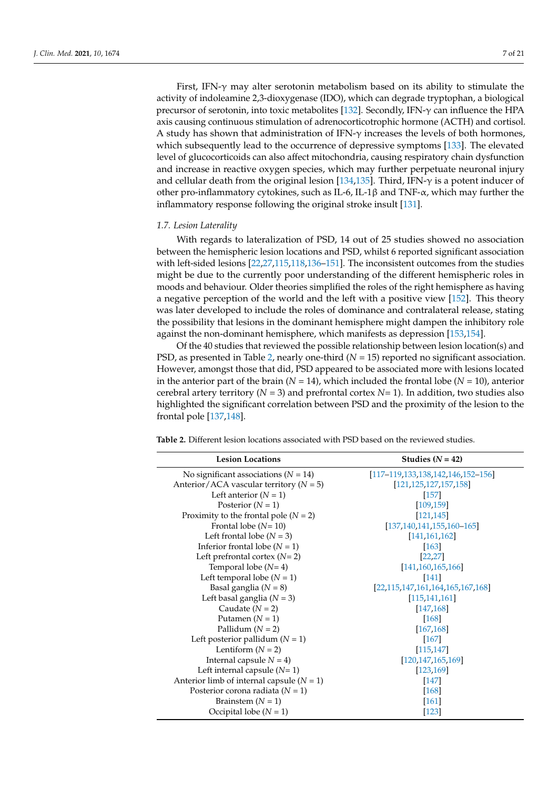First, IFN- $\gamma$  may alter serotonin metabolism based on its ability to stimulate the activity of indoleamine 2,3-dioxygenase (IDO), which can degrade tryptophan, a biological precursor of serotonin, into toxic metabolites [\[132\]](#page-17-5). Secondly, IFN-γ can influence the HPA axis causing continuous stimulation of adrenocorticotrophic hormone (ACTH) and cortisol. A study has shown that administration of IFN-γ increases the levels of both hormones, which subsequently lead to the occurrence of depressive symptoms [\[133\]](#page-17-6). The elevated level of glucocorticoids can also affect mitochondria, causing respiratory chain dysfunction and increase in reactive oxygen species, which may further perpetuate neuronal injury and cellular death from the original lesion [\[134](#page-17-7)[,135\]](#page-17-8). Third, IFN- $\gamma$  is a potent inducer of other pro-inflammatory cytokines, such as IL-6, IL-1 $\beta$  and TNF- $\alpha$ , which may further the inflammatory response following the original stroke insult [\[131\]](#page-17-4).

# *1.7. Lesion Laterality*

With regards to lateralization of PSD, 14 out of 25 studies showed no association between the hemispheric lesion locations and PSD, whilst 6 reported significant association with left-sided lesions [\[22,](#page-12-15)[27,](#page-13-2)[115](#page-16-3)[,118](#page-16-4)[,136–](#page-17-9)[151\]](#page-17-10). The inconsistent outcomes from the studies might be due to the currently poor understanding of the different hemispheric roles in moods and behaviour. Older theories simplified the roles of the right hemisphere as having a negative perception of the world and the left with a positive view [\[152\]](#page-17-11). This theory was later developed to include the roles of dominance and contralateral release, stating the possibility that lesions in the dominant hemisphere might dampen the inhibitory role against the non-dominant hemisphere, which manifests as depression [\[153,](#page-17-12)[154\]](#page-17-13).

Of the 40 studies that reviewed the possible relationship between lesion location(s) and PSD, as presented in Table [2,](#page-6-0) nearly one-third ( $N = 15$ ) reported no significant association. However, amongst those that did, PSD appeared to be associated more with lesions located in the anterior part of the brain  $(N = 14)$ , which included the frontal lobe  $(N = 10)$ , anterior cerebral artery territory ( $N = 3$ ) and prefrontal cortex  $N = 1$ ). In addition, two studies also highlighted the significant correlation between PSD and the proximity of the lesion to the frontal pole [\[137,](#page-17-14)[148\]](#page-17-15).

<span id="page-6-0"></span>**Table 2.** Different lesion locations associated with PSD based on the reviewed studies.

| <b>Lesion Locations</b>                     | Studies $(N = 42)$                        |
|---------------------------------------------|-------------------------------------------|
| No significant associations $(N = 14)$      | $[117-119, 133, 138, 142, 146, 152-156]$  |
| Anterior/ACA vascular territory ( $N = 5$ ) | [121, 125, 127, 157, 158]                 |
| Left anterior $(N = 1)$                     | [157]                                     |
| Posterior $(N = 1)$                         | [109.159]                                 |
| Proximity to the frontal pole ( $N = 2$ )   | [121.145]                                 |
| Frontal lobe $(N=10)$                       | $[137, 140, 141, 155, 160 - 165]$         |
| Left frontal lobe ( $N = 3$ )               | [141.161.162]                             |
| Inferior frontal lobe $(N = 1)$             | [163]                                     |
| Left prefrontal cortex $(N=2)$              | [22, 27]                                  |
| Temporal lobe $(N=4)$                       | [141, 160, 165, 166]                      |
| Left temporal lobe $(N = 1)$                | $[141]$                                   |
| Basal ganglia $(N = 8)$                     | $[22, 115, 147, 161, 164, 165, 167, 168]$ |
| Left basal ganglia ( $N = 3$ )              | [115, 141, 161]                           |
| Caudate $(N = 2)$                           | [147, 168]                                |
| Putamen $(N = 1)$                           | [168]                                     |
| Pallidum $(N = 2)$                          | [167, 168]                                |
| Left posterior pallidum $(N = 1)$           | $[167]$                                   |
| Lentiform $(N = 2)$                         | [115, 147]                                |
| Internal capsule $N = 4$ )                  | [120, 147, 165, 169]                      |
| Left internal capsule $(N=1)$               | [123, 169]                                |
| Anterior limb of internal capsule $(N = 1)$ | $[147]$                                   |
| Posterior corona radiata ( $N = 1$ )        | [168]                                     |
| Brainstem $(N = 1)$                         | [161]                                     |
| Occipital lobe $(N = 1)$                    | [123]                                     |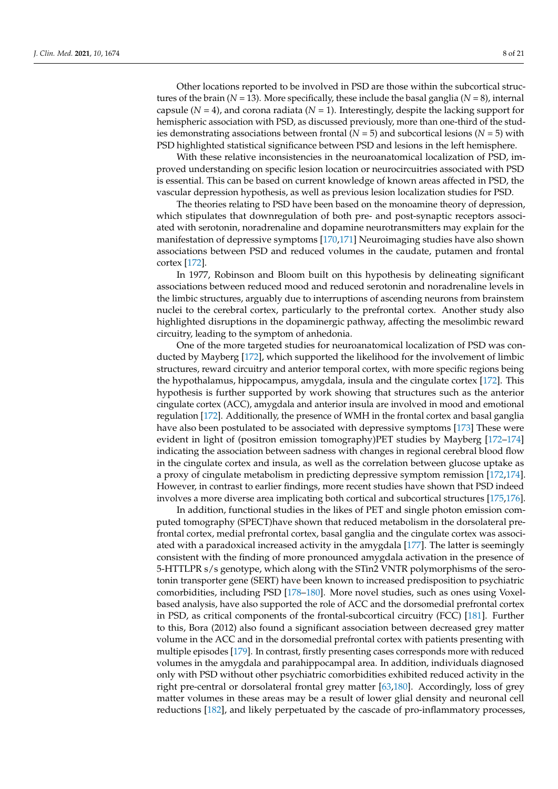Other locations reported to be involved in PSD are those within the subcortical structures of the brain  $(N = 13)$ . More specifically, these include the basal ganglia  $(N = 8)$ , internal capsule  $(N = 4)$ , and corona radiata  $(N = 1)$ . Interestingly, despite the lacking support for hemispheric association with PSD, as discussed previously, more than one-third of the studies demonstrating associations between frontal (*N* = 5) and subcortical lesions (*N* = 5) with PSD highlighted statistical significance between PSD and lesions in the left hemisphere.

With these relative inconsistencies in the neuroanatomical localization of PSD, improved understanding on specific lesion location or neurocircuitries associated with PSD is essential. This can be based on current knowledge of known areas affected in PSD, the vascular depression hypothesis, as well as previous lesion localization studies for PSD.

The theories relating to PSD have been based on the monoamine theory of depression, which stipulates that downregulation of both pre- and post-synaptic receptors associated with serotonin, noradrenaline and dopamine neurotransmitters may explain for the manifestation of depressive symptoms [\[170](#page-18-14)[,171\]](#page-18-15) Neuroimaging studies have also shown associations between PSD and reduced volumes in the caudate, putamen and frontal cortex [\[172\]](#page-18-16).

In 1977, Robinson and Bloom built on this hypothesis by delineating significant associations between reduced mood and reduced serotonin and noradrenaline levels in the limbic structures, arguably due to interruptions of ascending neurons from brainstem nuclei to the cerebral cortex, particularly to the prefrontal cortex. Another study also highlighted disruptions in the dopaminergic pathway, affecting the mesolimbic reward circuitry, leading to the symptom of anhedonia.

One of the more targeted studies for neuroanatomical localization of PSD was conducted by Mayberg [\[172\]](#page-18-16), which supported the likelihood for the involvement of limbic structures, reward circuitry and anterior temporal cortex, with more specific regions being the hypothalamus, hippocampus, amygdala, insula and the cingulate cortex [\[172\]](#page-18-16). This hypothesis is further supported by work showing that structures such as the anterior cingulate cortex (ACC), amygdala and anterior insula are involved in mood and emotional regulation [\[172\]](#page-18-16). Additionally, the presence of WMH in the frontal cortex and basal ganglia have also been postulated to be associated with depressive symptoms [\[173\]](#page-18-17) These were evident in light of (positron emission tomography)PET studies by Mayberg [\[172–](#page-18-16)[174\]](#page-18-18) indicating the association between sadness with changes in regional cerebral blood flow in the cingulate cortex and insula, as well as the correlation between glucose uptake as a proxy of cingulate metabolism in predicting depressive symptom remission [\[172,](#page-18-16)[174\]](#page-18-18). However, in contrast to earlier findings, more recent studies have shown that PSD indeed involves a more diverse area implicating both cortical and subcortical structures [\[175,](#page-18-19)[176\]](#page-18-20).

In addition, functional studies in the likes of PET and single photon emission computed tomography (SPECT)have shown that reduced metabolism in the dorsolateral prefrontal cortex, medial prefrontal cortex, basal ganglia and the cingulate cortex was associated with a paradoxical increased activity in the amygdala [\[177\]](#page-18-21). The latter is seemingly consistent with the finding of more pronounced amygdala activation in the presence of 5-HTTLPR s/s genotype, which along with the STin2 VNTR polymorphisms of the serotonin transporter gene (SERT) have been known to increased predisposition to psychiatric comorbidities, including PSD [\[178–](#page-18-22)[180\]](#page-18-23). More novel studies, such as ones using Voxelbased analysis, have also supported the role of ACC and the dorsomedial prefrontal cortex in PSD, as critical components of the frontal-subcortical circuitry (FCC) [\[181\]](#page-18-24). Further to this, Bora (2012) also found a significant association between decreased grey matter volume in the ACC and in the dorsomedial prefrontal cortex with patients presenting with multiple episodes [\[179\]](#page-18-25). In contrast, firstly presenting cases corresponds more with reduced volumes in the amygdala and parahippocampal area. In addition, individuals diagnosed only with PSD without other psychiatric comorbidities exhibited reduced activity in the right pre-central or dorsolateral frontal grey matter [\[63](#page-14-11)[,180\]](#page-18-23). Accordingly, loss of grey matter volumes in these areas may be a result of lower glial density and neuronal cell reductions [\[182\]](#page-18-26), and likely perpetuated by the cascade of pro-inflammatory processes,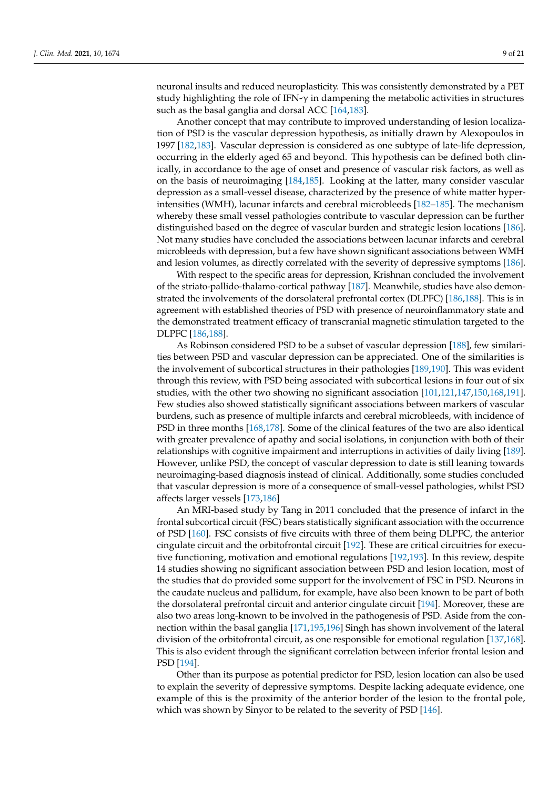neuronal insults and reduced neuroplasticity. This was consistently demonstrated by a PET study highlighting the role of IFN- $\gamma$  in dampening the metabolic activities in structures such as the basal ganglia and dorsal ACC [\[164](#page-18-10)[,183\]](#page-18-27).

Another concept that may contribute to improved understanding of lesion localization of PSD is the vascular depression hypothesis, as initially drawn by Alexopoulos in 1997 [\[182](#page-18-26)[,183\]](#page-18-27). Vascular depression is considered as one subtype of late-life depression, occurring in the elderly aged 65 and beyond. This hypothesis can be defined both clinically, in accordance to the age of onset and presence of vascular risk factors, as well as on the basis of neuroimaging [\[184,](#page-19-0)[185\]](#page-19-1). Looking at the latter, many consider vascular depression as a small-vessel disease, characterized by the presence of white matter hyperintensities (WMH), lacunar infarcts and cerebral microbleeds [\[182–](#page-18-26)[185\]](#page-19-1). The mechanism whereby these small vessel pathologies contribute to vascular depression can be further distinguished based on the degree of vascular burden and strategic lesion locations [\[186\]](#page-19-2). Not many studies have concluded the associations between lacunar infarcts and cerebral microbleeds with depression, but a few have shown significant associations between WMH and lesion volumes, as directly correlated with the severity of depressive symptoms [\[186\]](#page-19-2).

With respect to the specific areas for depression, Krishnan concluded the involvement of the striato-pallido-thalamo-cortical pathway [\[187\]](#page-19-3). Meanwhile, studies have also demonstrated the involvements of the dorsolateral prefrontal cortex (DLPFC) [\[186,](#page-19-2)[188\]](#page-19-4). This is in agreement with established theories of PSD with presence of neuroinflammatory state and the demonstrated treatment efficacy of transcranial magnetic stimulation targeted to the DLPFC [\[186](#page-19-2)[,188\]](#page-19-4).

As Robinson considered PSD to be a subset of vascular depression [\[188\]](#page-19-4), few similarities between PSD and vascular depression can be appreciated. One of the similarities is the involvement of subcortical structures in their pathologies [\[189,](#page-19-5)[190\]](#page-19-6). This was evident through this review, with PSD being associated with subcortical lesions in four out of six studies, with the other two showing no significant association [\[101,](#page-16-0)[121,](#page-16-7)[147,](#page-17-23)[150,](#page-17-24)[168,](#page-18-12)[191\]](#page-19-7). Few studies also showed statistically significant associations between markers of vascular burdens, such as presence of multiple infarcts and cerebral microbleeds, with incidence of PSD in three months [\[168](#page-18-12)[,178\]](#page-18-22). Some of the clinical features of the two are also identical with greater prevalence of apathy and social isolations, in conjunction with both of their relationships with cognitive impairment and interruptions in activities of daily living [\[189\]](#page-19-5). However, unlike PSD, the concept of vascular depression to date is still leaning towards neuroimaging-based diagnosis instead of clinical. Additionally, some studies concluded that vascular depression is more of a consequence of small-vessel pathologies, whilst PSD affects larger vessels [\[173,](#page-18-17)[186\]](#page-19-2)

An MRI-based study by Tang in 2011 concluded that the presence of infarct in the frontal subcortical circuit (FSC) bears statistically significant association with the occurrence of PSD [\[160\]](#page-18-4). FSC consists of five circuits with three of them being DLPFC, the anterior cingulate circuit and the orbitofrontal circuit [\[192\]](#page-19-8). These are critical circuitries for executive functioning, motivation and emotional regulations [\[192](#page-19-8)[,193\]](#page-19-9). In this review, despite 14 studies showing no significant association between PSD and lesion location, most of the studies that do provided some support for the involvement of FSC in PSD. Neurons in the caudate nucleus and pallidum, for example, have also been known to be part of both the dorsolateral prefrontal circuit and anterior cingulate circuit [\[194\]](#page-19-10). Moreover, these are also two areas long-known to be involved in the pathogenesis of PSD. Aside from the connection within the basal ganglia [\[171,](#page-18-15)[195,](#page-19-11)[196\]](#page-19-12) Singh has shown involvement of the lateral division of the orbitofrontal circuit, as one responsible for emotional regulation [\[137,](#page-17-14)[168\]](#page-18-12). This is also evident through the significant correlation between inferior frontal lesion and PSD [\[194\]](#page-19-10).

Other than its purpose as potential predictor for PSD, lesion location can also be used to explain the severity of depressive symptoms. Despite lacking adequate evidence, one example of this is the proximity of the anterior border of the lesion to the frontal pole, which was shown by Sinyor to be related to the severity of PSD [\[146\]](#page-17-18).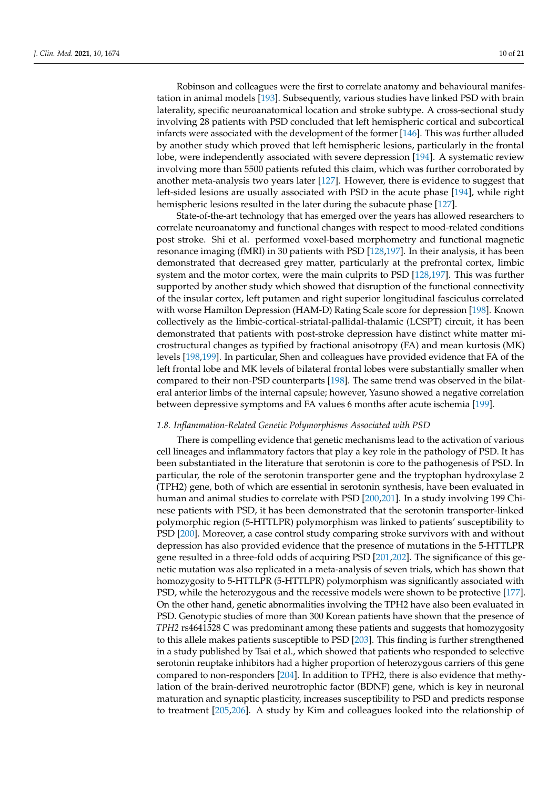Robinson and colleagues were the first to correlate anatomy and behavioural manifestation in animal models [\[193\]](#page-19-9). Subsequently, various studies have linked PSD with brain laterality, specific neuroanatomical location and stroke subtype. A cross-sectional study involving 28 patients with PSD concluded that left hemispheric cortical and subcortical infarcts were associated with the development of the former [\[146\]](#page-17-18). This was further alluded by another study which proved that left hemispheric lesions, particularly in the frontal lobe, were independently associated with severe depression [\[194\]](#page-19-10). A systematic review involving more than 5500 patients refuted this claim, which was further corroborated by another meta-analysis two years later [\[127\]](#page-17-0). However, there is evidence to suggest that left-sided lesions are usually associated with PSD in the acute phase [\[194\]](#page-19-10), while right hemispheric lesions resulted in the later during the subacute phase [\[127\]](#page-17-0).

State-of-the-art technology that has emerged over the years has allowed researchers to correlate neuroanatomy and functional changes with respect to mood-related conditions post stroke. Shi et al. performed voxel-based morphometry and functional magnetic resonance imaging (fMRI) in 30 patients with PSD [\[128](#page-17-1)[,197\]](#page-19-13). In their analysis, it has been demonstrated that decreased grey matter, particularly at the prefrontal cortex, limbic system and the motor cortex, were the main culprits to PSD [\[128](#page-17-1)[,197\]](#page-19-13). This was further supported by another study which showed that disruption of the functional connectivity of the insular cortex, left putamen and right superior longitudinal fasciculus correlated with worse Hamilton Depression (HAM-D) Rating Scale score for depression [\[198\]](#page-19-14). Known collectively as the limbic-cortical-striatal-pallidal-thalamic (LCSPT) circuit, it has been demonstrated that patients with post-stroke depression have distinct white matter microstructural changes as typified by fractional anisotropy (FA) and mean kurtosis (MK) levels [\[198,](#page-19-14)[199\]](#page-19-15). In particular, Shen and colleagues have provided evidence that FA of the left frontal lobe and MK levels of bilateral frontal lobes were substantially smaller when compared to their non-PSD counterparts [\[198\]](#page-19-14). The same trend was observed in the bilateral anterior limbs of the internal capsule; however, Yasuno showed a negative correlation between depressive symptoms and FA values 6 months after acute ischemia [\[199\]](#page-19-15).

## *1.8. Inflammation-Related Genetic Polymorphisms Associated with PSD*

There is compelling evidence that genetic mechanisms lead to the activation of various cell lineages and inflammatory factors that play a key role in the pathology of PSD. It has been substantiated in the literature that serotonin is core to the pathogenesis of PSD. In particular, the role of the serotonin transporter gene and the tryptophan hydroxylase 2 (TPH2) gene, both of which are essential in serotonin synthesis, have been evaluated in human and animal studies to correlate with PSD [\[200,](#page-19-16)[201\]](#page-19-17). In a study involving 199 Chinese patients with PSD, it has been demonstrated that the serotonin transporter-linked polymorphic region (5-HTTLPR) polymorphism was linked to patients' susceptibility to PSD [\[200\]](#page-19-16). Moreover, a case control study comparing stroke survivors with and without depression has also provided evidence that the presence of mutations in the 5-HTTLPR gene resulted in a three-fold odds of acquiring PSD [\[201,](#page-19-17)[202\]](#page-19-18). The significance of this genetic mutation was also replicated in a meta-analysis of seven trials, which has shown that homozygosity to 5-HTTLPR (5-HTTLPR) polymorphism was significantly associated with PSD, while the heterozygous and the recessive models were shown to be protective [\[177\]](#page-18-21). On the other hand, genetic abnormalities involving the TPH2 have also been evaluated in PSD. Genotypic studies of more than 300 Korean patients have shown that the presence of *TPH2* rs4641528 C was predominant among these patients and suggests that homozygosity to this allele makes patients susceptible to PSD [\[203\]](#page-19-19). This finding is further strengthened in a study published by Tsai et al., which showed that patients who responded to selective serotonin reuptake inhibitors had a higher proportion of heterozygous carriers of this gene compared to non-responders [\[204\]](#page-19-20). In addition to TPH2, there is also evidence that methylation of the brain-derived neurotrophic factor (BDNF) gene, which is key in neuronal maturation and synaptic plasticity, increases susceptibility to PSD and predicts response to treatment [\[205](#page-19-21)[,206\]](#page-19-22). A study by Kim and colleagues looked into the relationship of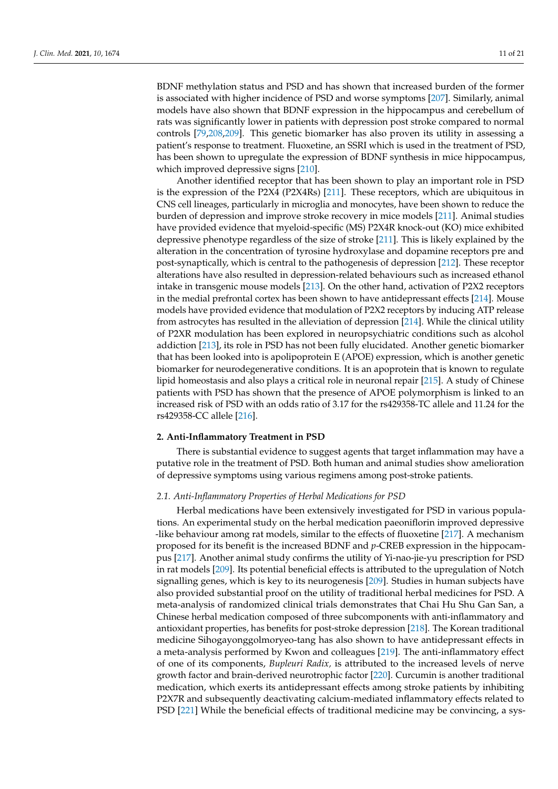BDNF methylation status and PSD and has shown that increased burden of the former is associated with higher incidence of PSD and worse symptoms [\[207\]](#page-19-23). Similarly, animal models have also shown that BDNF expression in the hippocampus and cerebellum of rats was significantly lower in patients with depression post stroke compared to normal controls [\[79,](#page-15-5)[208,](#page-19-24)[209\]](#page-19-25). This genetic biomarker has also proven its utility in assessing a patient's response to treatment. Fluoxetine, an SSRI which is used in the treatment of PSD, has been shown to upregulate the expression of BDNF synthesis in mice hippocampus, which improved depressive signs [\[210\]](#page-19-26).

Another identified receptor that has been shown to play an important role in PSD is the expression of the P2X4 (P2X4Rs) [\[211\]](#page-20-0). These receptors, which are ubiquitous in CNS cell lineages, particularly in microglia and monocytes, have been shown to reduce the burden of depression and improve stroke recovery in mice models [\[211\]](#page-20-0). Animal studies have provided evidence that myeloid-specific (MS) P2X4R knock-out (KO) mice exhibited depressive phenotype regardless of the size of stroke [\[211\]](#page-20-0). This is likely explained by the alteration in the concentration of tyrosine hydroxylase and dopamine receptors pre and post-synaptically, which is central to the pathogenesis of depression [\[212\]](#page-20-1). These receptor alterations have also resulted in depression-related behaviours such as increased ethanol intake in transgenic mouse models [\[213\]](#page-20-2). On the other hand, activation of P2X2 receptors in the medial prefrontal cortex has been shown to have antidepressant effects [\[214\]](#page-20-3). Mouse models have provided evidence that modulation of P2X2 receptors by inducing ATP release from astrocytes has resulted in the alleviation of depression [\[214\]](#page-20-3). While the clinical utility of P2XR modulation has been explored in neuropsychiatric conditions such as alcohol addiction [\[213\]](#page-20-2), its role in PSD has not been fully elucidated. Another genetic biomarker that has been looked into is apolipoprotein E (APOE) expression, which is another genetic biomarker for neurodegenerative conditions. It is an apoprotein that is known to regulate lipid homeostasis and also plays a critical role in neuronal repair [\[215\]](#page-20-4). A study of Chinese patients with PSD has shown that the presence of APOE polymorphism is linked to an increased risk of PSD with an odds ratio of 3.17 for the rs429358-TC allele and 11.24 for the rs429358-CC allele [\[216\]](#page-20-5).

# **2. Anti-Inflammatory Treatment in PSD**

There is substantial evidence to suggest agents that target inflammation may have a putative role in the treatment of PSD. Both human and animal studies show amelioration of depressive symptoms using various regimens among post-stroke patients.

# *2.1. Anti-Inflammatory Properties of Herbal Medications for PSD*

Herbal medications have been extensively investigated for PSD in various populations. An experimental study on the herbal medication paeoniflorin improved depressive -like behaviour among rat models, similar to the effects of fluoxetine [\[217\]](#page-20-6). A mechanism proposed for its benefit is the increased BDNF and *p*-CREB expression in the hippocampus [\[217\]](#page-20-6). Another animal study confirms the utility of Yi-nao-jie-yu prescription for PSD in rat models [\[209\]](#page-19-25). Its potential beneficial effects is attributed to the upregulation of Notch signalling genes, which is key to its neurogenesis [\[209\]](#page-19-25). Studies in human subjects have also provided substantial proof on the utility of traditional herbal medicines for PSD. A meta-analysis of randomized clinical trials demonstrates that Chai Hu Shu Gan San, a Chinese herbal medication composed of three subcomponents with anti-inflammatory and antioxidant properties, has benefits for post-stroke depression [\[218\]](#page-20-7). The Korean traditional medicine Sihogayonggolmoryeo-tang has also shown to have antidepressant effects in a meta-analysis performed by Kwon and colleagues [\[219\]](#page-20-8). The anti-inflammatory effect of one of its components, *Bupleuri Radix,* is attributed to the increased levels of nerve growth factor and brain-derived neurotrophic factor [\[220\]](#page-20-9). Curcumin is another traditional medication, which exerts its antidepressant effects among stroke patients by inhibiting P2X7R and subsequently deactivating calcium-mediated inflammatory effects related to PSD [\[221\]](#page-20-10) While the beneficial effects of traditional medicine may be convincing, a sys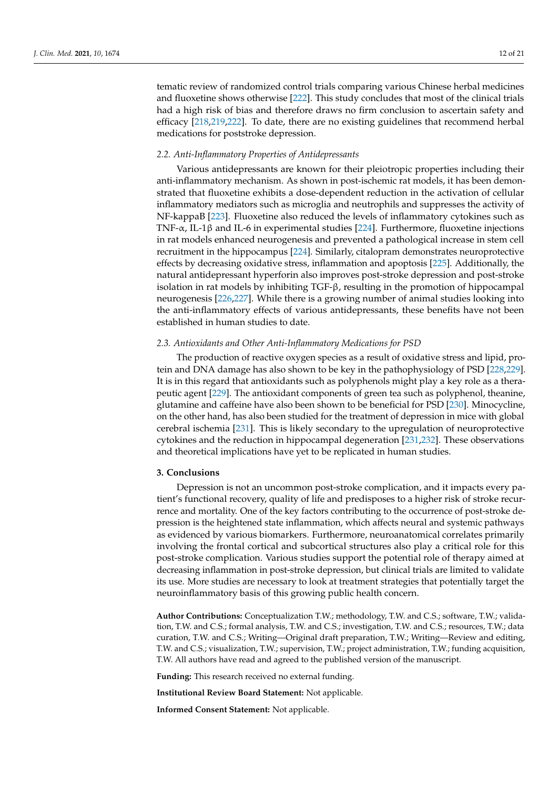tematic review of randomized control trials comparing various Chinese herbal medicines and fluoxetine shows otherwise [\[222\]](#page-20-11). This study concludes that most of the clinical trials had a high risk of bias and therefore draws no firm conclusion to ascertain safety and efficacy [\[218,](#page-20-7)[219,](#page-20-8)[222\]](#page-20-11). To date, there are no existing guidelines that recommend herbal medications for poststroke depression.

# *2.2. Anti-Inflammatory Properties of Antidepressants*

Various antidepressants are known for their pleiotropic properties including their anti-inflammatory mechanism. As shown in post-ischemic rat models, it has been demonstrated that fluoxetine exhibits a dose-dependent reduction in the activation of cellular inflammatory mediators such as microglia and neutrophils and suppresses the activity of NF-kappaB [\[223\]](#page-20-12). Fluoxetine also reduced the levels of inflammatory cytokines such as TNF-α, IL-1β and IL-6 in experimental studies [\[224\]](#page-20-13). Furthermore, fluoxetine injections in rat models enhanced neurogenesis and prevented a pathological increase in stem cell recruitment in the hippocampus [\[224\]](#page-20-13). Similarly, citalopram demonstrates neuroprotective effects by decreasing oxidative stress, inflammation and apoptosis [\[225\]](#page-20-14). Additionally, the natural antidepressant hyperforin also improves post-stroke depression and post-stroke isolation in rat models by inhibiting TGF-β, resulting in the promotion of hippocampal neurogenesis [\[226](#page-20-15)[,227\]](#page-20-16). While there is a growing number of animal studies looking into the anti-inflammatory effects of various antidepressants, these benefits have not been established in human studies to date.

# *2.3. Antioxidants and Other Anti-Inflammatory Medications for PSD*

The production of reactive oxygen species as a result of oxidative stress and lipid, protein and DNA damage has also shown to be key in the pathophysiology of PSD [\[228](#page-20-17)[,229\]](#page-20-18). It is in this regard that antioxidants such as polyphenols might play a key role as a therapeutic agent [\[229\]](#page-20-18). The antioxidant components of green tea such as polyphenol, theanine, glutamine and caffeine have also been shown to be beneficial for PSD [\[230\]](#page-20-19). Minocycline, on the other hand, has also been studied for the treatment of depression in mice with global cerebral ischemia [\[231\]](#page-20-20). This is likely secondary to the upregulation of neuroprotective cytokines and the reduction in hippocampal degeneration [\[231,](#page-20-20)[232\]](#page-20-21). These observations and theoretical implications have yet to be replicated in human studies.

#### **3. Conclusions**

Depression is not an uncommon post-stroke complication, and it impacts every patient's functional recovery, quality of life and predisposes to a higher risk of stroke recurrence and mortality. One of the key factors contributing to the occurrence of post-stroke depression is the heightened state inflammation, which affects neural and systemic pathways as evidenced by various biomarkers. Furthermore, neuroanatomical correlates primarily involving the frontal cortical and subcortical structures also play a critical role for this post-stroke complication. Various studies support the potential role of therapy aimed at decreasing inflammation in post-stroke depression, but clinical trials are limited to validate its use. More studies are necessary to look at treatment strategies that potentially target the neuroinflammatory basis of this growing public health concern.

**Author Contributions:** Conceptualization T.W.; methodology, T.W. and C.S.; software, T.W.; validation, T.W. and C.S.; formal analysis, T.W. and C.S.; investigation, T.W. and C.S.; resources, T.W.; data curation, T.W. and C.S.; Writing—Original draft preparation, T.W.; Writing—Review and editing, T.W. and C.S.; visualization, T.W.; supervision, T.W.; project administration, T.W.; funding acquisition, T.W. All authors have read and agreed to the published version of the manuscript.

**Funding:** This research received no external funding.

**Institutional Review Board Statement:** Not applicable.

**Informed Consent Statement:** Not applicable.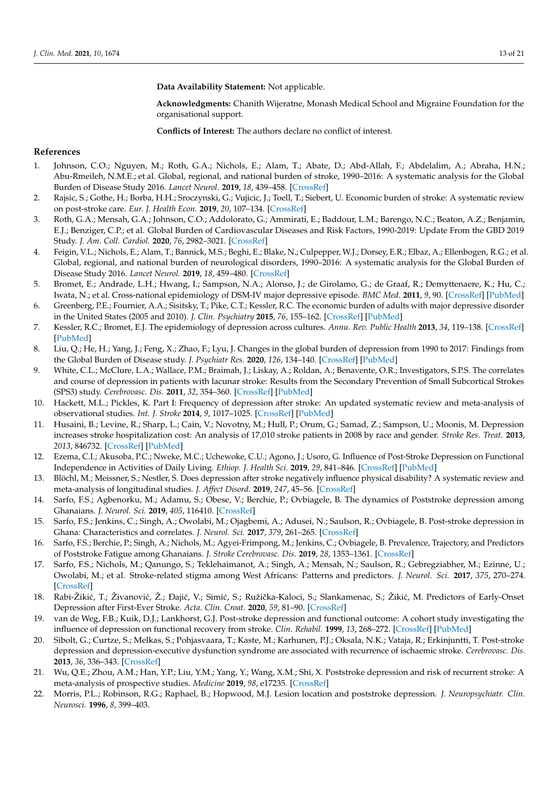**Data Availability Statement:** Not applicable.

**Acknowledgments:** Chanith Wijeratne, Monash Medical School and Migraine Foundation for the organisational support.

**Conflicts of Interest:** The authors declare no conflict of interest.

## **References**

- <span id="page-12-0"></span>1. Johnson, C.O.; Nguyen, M.; Roth, G.A.; Nichols, E.; Alam, T.; Abate, D.; Abd-Allah, F.; Abdelalim, A.; Abraha, H.N.; Abu-Rmeileh, N.M.E.; et al. Global, regional, and national burden of stroke, 1990–2016: A systematic analysis for the Global Burden of Disease Study 2016. *Lancet Neurol.* **2019**, *18*, 439–458. [\[CrossRef\]](http://doi.org/10.1016/S1474-4422(19)30034-1)
- <span id="page-12-1"></span>2. Rajsic, S.; Gothe, H.; Borba, H.H.; Sroczynski, G.; Vujicic, J.; Toell, T.; Siebert, U. Economic burden of stroke: A systematic review on post-stroke care. *Eur. J. Health Econ.* **2019**, *20*, 107–134. [\[CrossRef\]](http://doi.org/10.1007/s10198-018-0984-0)
- <span id="page-12-2"></span>3. Roth, G.A.; Mensah, G.A.; Johnson, C.O.; Addolorato, G.; Ammirati, E.; Baddour, L.M.; Barengo, N.C.; Beaton, A.Z.; Benjamin, E.J.; Benziger, C.P.; et al. Global Burden of Cardiovascular Diseases and Risk Factors, 1990-2019: Update From the GBD 2019 Study. *J. Am. Coll. Cardiol.* **2020**, *76*, 2982–3021. [\[CrossRef\]](http://doi.org/10.1016/j.jacc.2020.11.010)
- <span id="page-12-3"></span>4. Feigin, V.L.; Nichols, E.; Alam, T.; Bannick, M.S.; Beghi, E.; Blake, N.; Culpepper, W.J.; Dorsey, E.R.; Elbaz, A.; Ellenbogen, R.G.; et al. Global, regional, and national burden of neurological disorders, 1990–2016: A systematic analysis for the Global Burden of Disease Study 2016. *Lancet Neurol.* **2019**, *18*, 459–480. [\[CrossRef\]](http://doi.org/10.1016/S1474-4422(18)30499-X)
- <span id="page-12-4"></span>5. Bromet, E.; Andrade, L.H.; Hwang, I.; Sampson, N.A.; Alonso, J.; de Girolamo, G.; de Graaf, R.; Demyttenaere, K.; Hu, C.; Iwata, N.; et al. Cross-national epidemiology of DSM-IV major depressive episode. *BMC Med.* **2011**, *9*, 90. [\[CrossRef\]](http://doi.org/10.1186/1741-7015-9-90) [\[PubMed\]](http://www.ncbi.nlm.nih.gov/pubmed/21791035)
- 6. Greenberg, P.E.; Fournier, A.A.; Sisitsky, T.; Pike, C.T.; Kessler, R.C. The economic burden of adults with major depressive disorder in the United States (2005 and 2010). *J. Clin. Psychiatry* **2015**, *76*, 155–162. [\[CrossRef\]](http://doi.org/10.4088/JCP.14m09298) [\[PubMed\]](http://www.ncbi.nlm.nih.gov/pubmed/25742202)
- 7. Kessler, R.C.; Bromet, E.J. The epidemiology of depression across cultures. *Annu. Rev. Public Health* **2013**, *34*, 119–138. [\[CrossRef\]](http://doi.org/10.1146/annurev-publhealth-031912-114409) [\[PubMed\]](http://www.ncbi.nlm.nih.gov/pubmed/23514317)
- <span id="page-12-5"></span>8. Liu, Q.; He, H.; Yang, J.; Feng, X.; Zhao, F.; Lyu, J. Changes in the global burden of depression from 1990 to 2017: Findings from the Global Burden of Disease study. *J. Psychiatr Res.* **2020**, *126*, 134–140. [\[CrossRef\]](http://doi.org/10.1016/j.jpsychires.2019.08.002) [\[PubMed\]](http://www.ncbi.nlm.nih.gov/pubmed/31439359)
- <span id="page-12-6"></span>9. White, C.L.; McClure, L.A.; Wallace, P.M.; Braimah, J.; Liskay, A.; Roldan, A.; Benavente, O.R.; Investigators, S.P.S. The correlates and course of depression in patients with lacunar stroke: Results from the Secondary Prevention of Small Subcortical Strokes (SPS3) study. *Cerebrovasc. Dis.* **2011**, *32*, 354–360. [\[CrossRef\]](http://doi.org/10.1159/000330350) [\[PubMed\]](http://www.ncbi.nlm.nih.gov/pubmed/21921599)
- <span id="page-12-7"></span>10. Hackett, M.L.; Pickles, K. Part I: Frequency of depression after stroke: An updated systematic review and meta-analysis of observational studies. *Int. J. Stroke* **2014**, *9*, 1017–1025. [\[CrossRef\]](http://doi.org/10.1111/ijs.12357) [\[PubMed\]](http://www.ncbi.nlm.nih.gov/pubmed/25117911)
- <span id="page-12-8"></span>11. Husaini, B.; Levine, R.; Sharp, L.; Cain, V.; Novotny, M.; Hull, P.; Orum, G.; Samad, Z.; Sampson, U.; Moonis, M. Depression increases stroke hospitalization cost: An analysis of 17,010 stroke patients in 2008 by race and gender. *Stroke Res. Treat.* **2013**, *2013*, 846732. [\[CrossRef\]](http://doi.org/10.1155/2013/846732) [\[PubMed\]](http://www.ncbi.nlm.nih.gov/pubmed/23555070)
- <span id="page-12-10"></span>12. Ezema, C.I.; Akusoba, P.C.; Nweke, M.C.; Uchewoke, C.U.; Agono, J.; Usoro, G. Influence of Post-Stroke Depression on Functional Independence in Activities of Daily Living. *Ethiop. J. Health Sci.* **2019**, *29*, 841–846. [\[CrossRef\]](http://doi.org/10.4314/ejhs.v29i1.5) [\[PubMed\]](http://www.ncbi.nlm.nih.gov/pubmed/30700951)
- <span id="page-12-11"></span>13. Blöchl, M.; Meissner, S.; Nestler, S. Does depression after stroke negatively influence physical disability? A systematic review and meta-analysis of longitudinal studies. *J. Affect Disord.* **2019**, *247*, 45–56. [\[CrossRef\]](http://doi.org/10.1016/j.jad.2018.12.082)
- 14. Sarfo, F.S.; Agbenorku, M.; Adamu, S.; Obese, V.; Berchie, P.; Ovbiagele, B. The dynamics of Poststroke depression among Ghanaians. *J. Neurol. Sci.* **2019**, *405*, 116410. [\[CrossRef\]](http://doi.org/10.1016/j.jns.2019.07.028)
- <span id="page-12-12"></span>15. Sarfo, F.S.; Jenkins, C.; Singh, A.; Owolabi, M.; Ojagbemi, A.; Adusei, N.; Saulson, R.; Ovbiagele, B. Post-stroke depression in Ghana: Characteristics and correlates. *J. Neurol. Sci.* **2017**, *379*, 261–265. [\[CrossRef\]](http://doi.org/10.1016/j.jns.2017.06.032)
- 16. Sarfo, F.S.; Berchie, P.; Singh, A.; Nichols, M.; Agyei-Frimpong, M.; Jenkins, C.; Ovbiagele, B. Prevalence, Trajectory, and Predictors of Poststroke Fatigue among Ghanaians. *J. Stroke Cerebrovasc. Dis.* **2019**, *28*, 1353–1361. [\[CrossRef\]](http://doi.org/10.1016/j.jstrokecerebrovasdis.2019.02.002)
- 17. Sarfo, F.S.; Nichols, M.; Qanungo, S.; Teklehaimanot, A.; Singh, A.; Mensah, N.; Saulson, R.; Gebregziabher, M.; Ezinne, U.; Owolabi, M.; et al. Stroke-related stigma among West Africans: Patterns and predictors. *J. Neurol. Sci.* **2017**, *375*, 270–274. [\[CrossRef\]](http://doi.org/10.1016/j.jns.2017.02.018)
- <span id="page-12-13"></span>18. Rabi-Žikić, T.; Živanović, Ž.; Đajić, V.; Simić, S.; Ružička-Kaloci, S.; Slankamenac, S.; Žikić, M. Predictors of Early-Onset Depression after First-Ever Stroke. *Acta. Clin. Croat.* **2020**, *59*, 81–90. [\[CrossRef\]](http://doi.org/10.20471/acc.2020.59.01.10)
- <span id="page-12-14"></span>19. van de Weg, F.B.; Kuik, D.J.; Lankhorst, G.J. Post-stroke depression and functional outcome: A cohort study investigating the influence of depression on functional recovery from stroke. *Clin. Rehabil.* **1999**, *13*, 268–272. [\[CrossRef\]](http://doi.org/10.1191/026921599672495022) [\[PubMed\]](http://www.ncbi.nlm.nih.gov/pubmed/10392654)
- <span id="page-12-9"></span>20. Sibolt, G.; Curtze, S.; Melkas, S.; Pohjasvaara, T.; Kaste, M.; Karhunen, P.J.; Oksala, N.K.; Vataja, R.; Erkinjuntti, T. Post-stroke depression and depression-executive dysfunction syndrome are associated with recurrence of ischaemic stroke. *Cerebrovasc. Dis.* **2013**, *36*, 336–343. [\[CrossRef\]](http://doi.org/10.1159/000355145)
- <span id="page-12-16"></span>21. Wu, Q.E.; Zhou, A.M.; Han, Y.P.; Liu, Y.M.; Yang, Y.; Wang, X.M.; Shi, X. Poststroke depression and risk of recurrent stroke: A meta-analysis of prospective studies. *Medicine* **2019**, *98*, e17235. [\[CrossRef\]](http://doi.org/10.1097/MD.0000000000017235)
- <span id="page-12-15"></span>22. Morris, P.L.; Robinson, R.G.; Raphael, B.; Hopwood, M.J. Lesion location and poststroke depression. *J. Neuropsychiatr. Clin. Neurosci.* **1996**, *8*, 399–403.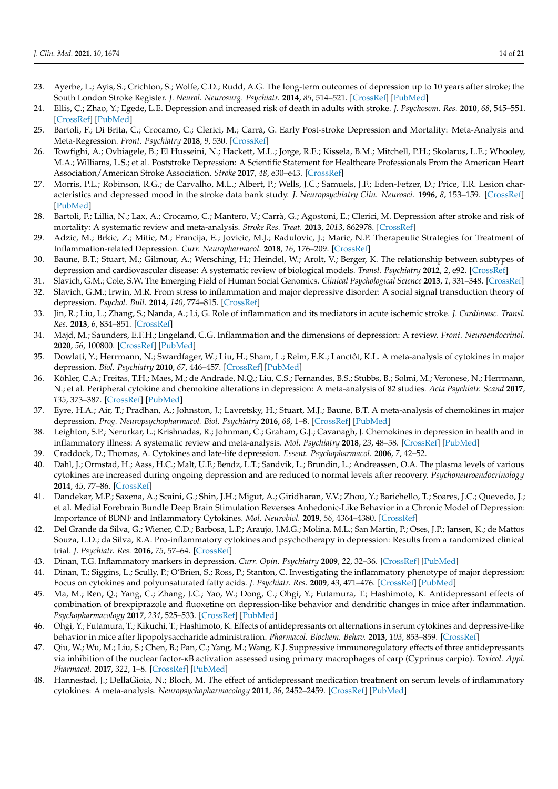- <span id="page-13-3"></span>23. Ayerbe, L.; Ayis, S.; Crichton, S.; Wolfe, C.D.; Rudd, A.G. The long-term outcomes of depression up to 10 years after stroke; the South London Stroke Register. *J. Neurol. Neurosurg. Psychiatr.* **2014**, *85*, 514–521. [\[CrossRef\]](http://doi.org/10.1136/jnnp-2013-306448) [\[PubMed\]](http://www.ncbi.nlm.nih.gov/pubmed/24163430)
- <span id="page-13-4"></span>24. Ellis, C.; Zhao, Y.; Egede, L.E. Depression and increased risk of death in adults with stroke. *J. Psychosom. Res.* **2010**, *68*, 545–551. [\[CrossRef\]](http://doi.org/10.1016/j.jpsychores.2009.11.006) [\[PubMed\]](http://www.ncbi.nlm.nih.gov/pubmed/20488271)
- <span id="page-13-0"></span>25. Bartoli, F.; Di Brita, C.; Crocamo, C.; Clerici, M.; Carrà, G. Early Post-stroke Depression and Mortality: Meta-Analysis and Meta-Regression. *Front. Psychiatry* **2018**, *9*, 530. [\[CrossRef\]](http://doi.org/10.3389/fpsyt.2018.00530)
- <span id="page-13-1"></span>26. Towfighi, A.; Ovbiagele, B.; El Husseini, N.; Hackett, M.L.; Jorge, R.E.; Kissela, B.M.; Mitchell, P.H.; Skolarus, L.E.; Whooley, M.A.; Williams, L.S.; et al. Poststroke Depression: A Scientific Statement for Healthcare Professionals From the American Heart Association/American Stroke Association. *Stroke* **2017**, *48*, e30–e43. [\[CrossRef\]](http://doi.org/10.1161/STR.0000000000000113)
- <span id="page-13-2"></span>27. Morris, P.L.; Robinson, R.G.; de Carvalho, M.L.; Albert, P.; Wells, J.C.; Samuels, J.F.; Eden-Fetzer, D.; Price, T.R. Lesion characteristics and depressed mood in the stroke data bank study. *J. Neuropsychiatry Clin. Neurosci.* **1996**, *8*, 153–159. [\[CrossRef\]](http://doi.org/10.1176/jnp.8.2.153) [\[PubMed\]](http://www.ncbi.nlm.nih.gov/pubmed/9081550)
- <span id="page-13-5"></span>28. Bartoli, F.; Lillia, N.; Lax, A.; Crocamo, C.; Mantero, V.; Carrà, G.; Agostoni, E.; Clerici, M. Depression after stroke and risk of mortality: A systematic review and meta-analysis. *Stroke Res. Treat.* **2013**, *2013*, 862978. [\[CrossRef\]](http://doi.org/10.1155/2013/862978)
- <span id="page-13-6"></span>29. Adzic, M.; Brkic, Z.; Mitic, M.; Francija, E.; Jovicic, M.J.; Radulovic, J.; Maric, N.P. Therapeutic Strategies for Treatment of Inflammation-related Depression. *Curr. Neuropharmacol.* **2018**, *16*, 176–209. [\[CrossRef\]](http://doi.org/10.2174/1570159X15666170828163048)
- <span id="page-13-7"></span>30. Baune, B.T.; Stuart, M.; Gilmour, A.; Wersching, H.; Heindel, W.; Arolt, V.; Berger, K. The relationship between subtypes of depression and cardiovascular disease: A systematic review of biological models. *Transl. Psychiatry* **2012**, *2*, e92. [\[CrossRef\]](http://doi.org/10.1038/tp.2012.18)
- <span id="page-13-8"></span>31. Slavich, G.M.; Cole, S.W. The Emerging Field of Human Social Genomics. *Clinical Psychological Science* **2013**, *1*, 331–348. [\[CrossRef\]](http://doi.org/10.1177/2167702613478594)
- <span id="page-13-9"></span>32. Slavich, G.M.; Irwin, M.R. From stress to inflammation and major depressive disorder: A social signal transduction theory of depression. *Psychol. Bull.* **2014**, *140*, 774–815. [\[CrossRef\]](http://doi.org/10.1037/a0035302)
- <span id="page-13-10"></span>33. Jin, R.; Liu, L.; Zhang, S.; Nanda, A.; Li, G. Role of inflammation and its mediators in acute ischemic stroke. *J. Cardiovasc. Transl. Res.* **2013**, *6*, 834–851. [\[CrossRef\]](http://doi.org/10.1007/s12265-013-9508-6)
- <span id="page-13-11"></span>34. Majd, M.; Saunders, E.F.H.; Engeland, C.G. Inflammation and the dimensions of depression: A review. *Front. Neuroendocrinol.* **2020**, *56*, 100800. [\[CrossRef\]](http://doi.org/10.1016/j.yfrne.2019.100800) [\[PubMed\]](http://www.ncbi.nlm.nih.gov/pubmed/31654681)
- <span id="page-13-12"></span>35. Dowlati, Y.; Herrmann, N.; Swardfager, W.; Liu, H.; Sham, L.; Reim, E.K.; Lanctôt, K.L. A meta-analysis of cytokines in major depression. *Biol. Psychiatry* **2010**, *67*, 446–457. [\[CrossRef\]](http://doi.org/10.1016/j.biopsych.2009.09.033) [\[PubMed\]](http://www.ncbi.nlm.nih.gov/pubmed/20015486)
- <span id="page-13-13"></span>36. Köhler, C.A.; Freitas, T.H.; Maes, M.; de Andrade, N.Q.; Liu, C.S.; Fernandes, B.S.; Stubbs, B.; Solmi, M.; Veronese, N.; Herrmann, N.; et al. Peripheral cytokine and chemokine alterations in depression: A meta-analysis of 82 studies. *Acta Psychiatr. Scand* **2017**, *135*, 373–387. [\[CrossRef\]](http://doi.org/10.1111/acps.12698) [\[PubMed\]](http://www.ncbi.nlm.nih.gov/pubmed/28122130)
- <span id="page-13-14"></span>37. Eyre, H.A.; Air, T.; Pradhan, A.; Johnston, J.; Lavretsky, H.; Stuart, M.J.; Baune, B.T. A meta-analysis of chemokines in major depression. *Prog. Neuropsychopharmacol. Biol. Psychiatry* **2016**, *68*, 1–8. [\[CrossRef\]](http://doi.org/10.1016/j.pnpbp.2016.02.006) [\[PubMed\]](http://www.ncbi.nlm.nih.gov/pubmed/26903140)
- <span id="page-13-15"></span>38. Leighton, S.P.; Nerurkar, L.; Krishnadas, R.; Johnman, C.; Graham, G.J.; Cavanagh, J. Chemokines in depression in health and in inflammatory illness: A systematic review and meta-analysis. *Mol. Psychiatry* **2018**, *23*, 48–58. [\[CrossRef\]](http://doi.org/10.1038/mp.2017.205) [\[PubMed\]](http://www.ncbi.nlm.nih.gov/pubmed/29133955)
- <span id="page-13-16"></span>39. Craddock, D.; Thomas, A. Cytokines and late-life depression. *Essent. Psychopharmacol.* **2006**, *7*, 42–52.
- 40. Dahl, J.; Ormstad, H.; Aass, H.C.; Malt, U.F.; Bendz, L.T.; Sandvik, L.; Brundin, L.; Andreassen, O.A. The plasma levels of various cytokines are increased during ongoing depression and are reduced to normal levels after recovery. *Psychoneuroendocrinology* **2014**, *45*, 77–86. [\[CrossRef\]](http://doi.org/10.1016/j.psyneuen.2014.03.019)
- 41. Dandekar, M.P.; Saxena, A.; Scaini, G.; Shin, J.H.; Migut, A.; Giridharan, V.V.; Zhou, Y.; Barichello, T.; Soares, J.C.; Quevedo, J.; et al. Medial Forebrain Bundle Deep Brain Stimulation Reverses Anhedonic-Like Behavior in a Chronic Model of Depression: Importance of BDNF and Inflammatory Cytokines. *Mol. Neurobiol.* **2019**, *56*, 4364–4380. [\[CrossRef\]](http://doi.org/10.1007/s12035-018-1381-5)
- 42. Del Grande da Silva, G.; Wiener, C.D.; Barbosa, L.P.; Araujo, J.M.G.; Molina, M.L.; San Martin, P.; Oses, J.P.; Jansen, K.; de Mattos Souza, L.D.; da Silva, R.A. Pro-inflammatory cytokines and psychotherapy in depression: Results from a randomized clinical trial. *J. Psychiatr. Res.* **2016**, *75*, 57–64. [\[CrossRef\]](http://doi.org/10.1016/j.jpsychires.2016.01.008)
- 43. Dinan, T.G. Inflammatory markers in depression. *Curr. Opin. Psychiatry* **2009**, *22*, 32–36. [\[CrossRef\]](http://doi.org/10.1097/YCO.0b013e328315a561) [\[PubMed\]](http://www.ncbi.nlm.nih.gov/pubmed/19122532)
- <span id="page-13-17"></span>44. Dinan, T.; Siggins, L.; Scully, P.; O'Brien, S.; Ross, P.; Stanton, C. Investigating the inflammatory phenotype of major depression: Focus on cytokines and polyunsaturated fatty acids. *J. Psychiatr. Res.* **2009**, *43*, 471–476. [\[CrossRef\]](http://doi.org/10.1016/j.jpsychires.2008.06.003) [\[PubMed\]](http://www.ncbi.nlm.nih.gov/pubmed/18640689)
- <span id="page-13-18"></span>45. Ma, M.; Ren, Q.; Yang, C.; Zhang, J.C.; Yao, W.; Dong, C.; Ohgi, Y.; Futamura, T.; Hashimoto, K. Antidepressant effects of combination of brexpiprazole and fluoxetine on depression-like behavior and dendritic changes in mice after inflammation. *Psychopharmacology* **2017**, *234*, 525–533. [\[CrossRef\]](http://doi.org/10.1007/s00213-016-4483-7) [\[PubMed\]](http://www.ncbi.nlm.nih.gov/pubmed/27844095)
- <span id="page-13-19"></span>46. Ohgi, Y.; Futamura, T.; Kikuchi, T.; Hashimoto, K. Effects of antidepressants on alternations in serum cytokines and depressive-like behavior in mice after lipopolysaccharide administration. *Pharmacol. Biochem. Behav.* **2013**, *103*, 853–859. [\[CrossRef\]](http://doi.org/10.1016/j.pbb.2012.12.003)
- <span id="page-13-20"></span>47. Qiu, W.; Wu, M.; Liu, S.; Chen, B.; Pan, C.; Yang, M.; Wang, K.J. Suppressive immunoregulatory effects of three antidepressants via inhibition of the nuclear factor-κB activation assessed using primary macrophages of carp (Cyprinus carpio). *Toxicol. Appl. Pharmacol.* **2017**, *322*, 1–8. [\[CrossRef\]](http://doi.org/10.1016/j.taap.2017.03.002) [\[PubMed\]](http://www.ncbi.nlm.nih.gov/pubmed/28263824)
- <span id="page-13-21"></span>48. Hannestad, J.; DellaGioia, N.; Bloch, M. The effect of antidepressant medication treatment on serum levels of inflammatory cytokines: A meta-analysis. *Neuropsychopharmacology* **2011**, *36*, 2452–2459. [\[CrossRef\]](http://doi.org/10.1038/npp.2011.132) [\[PubMed\]](http://www.ncbi.nlm.nih.gov/pubmed/21796103)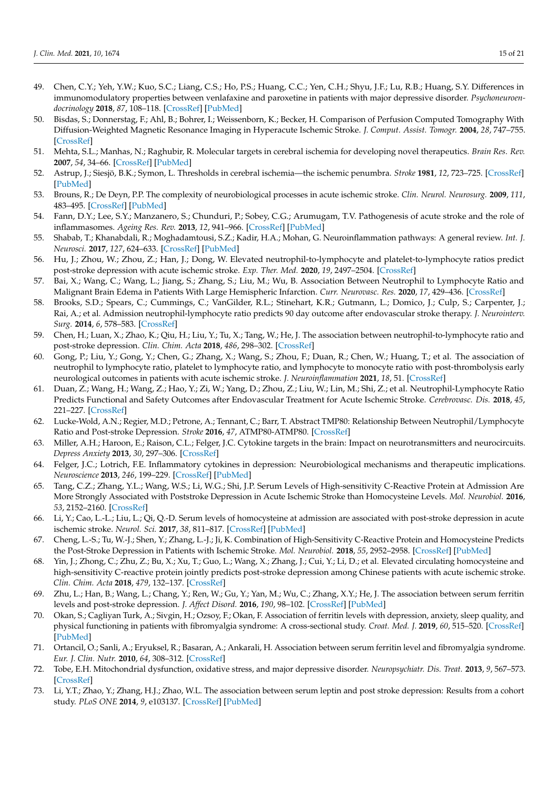- <span id="page-14-0"></span>49. Chen, C.Y.; Yeh, Y.W.; Kuo, S.C.; Liang, C.S.; Ho, P.S.; Huang, C.C.; Yen, C.H.; Shyu, J.F.; Lu, R.B.; Huang, S.Y. Differences in immunomodulatory properties between venlafaxine and paroxetine in patients with major depressive disorder. *Psychoneuroendocrinology* **2018**, *87*, 108–118. [\[CrossRef\]](http://doi.org/10.1016/j.psyneuen.2017.10.009) [\[PubMed\]](http://www.ncbi.nlm.nih.gov/pubmed/29055264)
- <span id="page-14-1"></span>50. Bisdas, S.; Donnerstag, F.; Ahl, B.; Bohrer, I.; Weissenborn, K.; Becker, H. Comparison of Perfusion Computed Tomography With Diffusion-Weighted Magnetic Resonance Imaging in Hyperacute Ischemic Stroke. *J. Comput. Assist. Tomogr.* **2004**, *28*, 747–755. [\[CrossRef\]](http://doi.org/10.1097/00004728-200411000-00004)
- <span id="page-14-2"></span>51. Mehta, S.L.; Manhas, N.; Raghubir, R. Molecular targets in cerebral ischemia for developing novel therapeutics. *Brain Res. Rev.* **2007**, *54*, 34–66. [\[CrossRef\]](http://doi.org/10.1016/j.brainresrev.2006.11.003) [\[PubMed\]](http://www.ncbi.nlm.nih.gov/pubmed/17222914)
- <span id="page-14-3"></span>52. Astrup, J.; Siesjö, B.K.; Symon, L. Thresholds in cerebral ischemia—the ischemic penumbra. *Stroke* **1981**, *12*, 723–725. [\[CrossRef\]](http://doi.org/10.1161/01.STR.12.6.723) [\[PubMed\]](http://www.ncbi.nlm.nih.gov/pubmed/6272455)
- <span id="page-14-4"></span>53. Brouns, R.; De Deyn, P.P. The complexity of neurobiological processes in acute ischemic stroke. *Clin. Neurol. Neurosurg.* **2009**, *111*, 483–495. [\[CrossRef\]](http://doi.org/10.1016/j.clineuro.2009.04.001) [\[PubMed\]](http://www.ncbi.nlm.nih.gov/pubmed/19446389)
- <span id="page-14-5"></span>54. Fann, D.Y.; Lee, S.Y.; Manzanero, S.; Chunduri, P.; Sobey, C.G.; Arumugam, T.V. Pathogenesis of acute stroke and the role of inflammasomes. *Ageing Res. Rev.* **2013**, *12*, 941–966. [\[CrossRef\]](http://doi.org/10.1016/j.arr.2013.09.004) [\[PubMed\]](http://www.ncbi.nlm.nih.gov/pubmed/24103368)
- <span id="page-14-6"></span>55. Shabab, T.; Khanabdali, R.; Moghadamtousi, S.Z.; Kadir, H.A.; Mohan, G. Neuroinflammation pathways: A general review. *Int. J. Neurosci.* **2017**, *127*, 624–633. [\[CrossRef\]](http://doi.org/10.1080/00207454.2016.1212854) [\[PubMed\]](http://www.ncbi.nlm.nih.gov/pubmed/27412492)
- <span id="page-14-7"></span>56. Hu, J.; Zhou, W.; Zhou, Z.; Han, J.; Dong, W. Elevated neutrophil-to-lymphocyte and platelet-to-lymphocyte ratios predict post-stroke depression with acute ischemic stroke. *Exp. Ther. Med.* **2020**, *19*, 2497–2504. [\[CrossRef\]](http://doi.org/10.3892/etm.2020.8514)
- 57. Bai, X.; Wang, C.; Wang, L.; Jiang, S.; Zhang, S.; Liu, M.; Wu, B. Association Between Neutrophil to Lymphocyte Ratio and Malignant Brain Edema in Patients With Large Hemispheric Infarction. *Curr. Neurovasc. Res.* **2020**, *17*, 429–436. [\[CrossRef\]](http://doi.org/10.2174/1567202617666200517110509)
- 58. Brooks, S.D.; Spears, C.; Cummings, C.; VanGilder, R.L.; Stinehart, K.R.; Gutmann, L.; Domico, J.; Culp, S.; Carpenter, J.; Rai, A.; et al. Admission neutrophil-lymphocyte ratio predicts 90 day outcome after endovascular stroke therapy. *J. Neurointerv. Surg.* **2014**, *6*, 578–583. [\[CrossRef\]](http://doi.org/10.1136/neurintsurg-2013-010780)
- <span id="page-14-9"></span>59. Chen, H.; Luan, X.; Zhao, K.; Qiu, H.; Liu, Y.; Tu, X.; Tang, W.; He, J. The association between neutrophil-to-lymphocyte ratio and post-stroke depression. *Clin. Chim. Acta* **2018**, *486*, 298–302. [\[CrossRef\]](http://doi.org/10.1016/j.cca.2018.08.026)
- 60. Gong, P.; Liu, Y.; Gong, Y.; Chen, G.; Zhang, X.; Wang, S.; Zhou, F.; Duan, R.; Chen, W.; Huang, T.; et al. The association of neutrophil to lymphocyte ratio, platelet to lymphocyte ratio, and lymphocyte to monocyte ratio with post-thrombolysis early neurological outcomes in patients with acute ischemic stroke. *J. Neuroinflammation* **2021**, *18*, 51. [\[CrossRef\]](http://doi.org/10.1186/s12974-021-02090-6)
- <span id="page-14-8"></span>61. Duan, Z.; Wang, H.; Wang, Z.; Hao, Y.; Zi, W.; Yang, D.; Zhou, Z.; Liu, W.; Lin, M.; Shi, Z.; et al. Neutrophil-Lymphocyte Ratio Predicts Functional and Safety Outcomes after Endovascular Treatment for Acute Ischemic Stroke. *Cerebrovasc. Dis.* **2018**, *45*, 221–227. [\[CrossRef\]](http://doi.org/10.1159/000489401)
- <span id="page-14-10"></span>62. Lucke-Wold, A.N.; Regier, M.D.; Petrone, A.; Tennant, C.; Barr, T. Abstract TMP80: Relationship Between Neutrophil/Lymphocyte Ratio and Post-stroke Depression. *Stroke* **2016**, *47*, ATMP80-ATMP80. [\[CrossRef\]](http://doi.org/10.1161/str.47.suppl_1.tmp80)
- <span id="page-14-11"></span>63. Miller, A.H.; Haroon, E.; Raison, C.L.; Felger, J.C. Cytokine targets in the brain: Impact on neurotransmitters and neurocircuits. *Depress Anxiety* **2013**, *30*, 297–306. [\[CrossRef\]](http://doi.org/10.1002/da.22084)
- <span id="page-14-12"></span>64. Felger, J.C.; Lotrich, F.E. Inflammatory cytokines in depression: Neurobiological mechanisms and therapeutic implications. *Neuroscience* **2013**, *246*, 199–229. [\[CrossRef\]](http://doi.org/10.1016/j.neuroscience.2013.04.060) [\[PubMed\]](http://www.ncbi.nlm.nih.gov/pubmed/23644052)
- <span id="page-14-13"></span>65. Tang, C.Z.; Zhang, Y.L.; Wang, W.S.; Li, W.G.; Shi, J.P. Serum Levels of High-sensitivity C-Reactive Protein at Admission Are More Strongly Associated with Poststroke Depression in Acute Ischemic Stroke than Homocysteine Levels. *Mol. Neurobiol.* **2016**, *53*, 2152–2160. [\[CrossRef\]](http://doi.org/10.1007/s12035-015-9186-2)
- <span id="page-14-14"></span>66. Li, Y.; Cao, L.-L.; Liu, L.; Qi, Q.-D. Serum levels of homocysteine at admission are associated with post-stroke depression in acute ischemic stroke. *Neurol. Sci.* **2017**, *38*, 811–817. [\[CrossRef\]](http://doi.org/10.1007/s10072-017-2848-2) [\[PubMed\]](http://www.ncbi.nlm.nih.gov/pubmed/28215036)
- <span id="page-14-15"></span>67. Cheng, L.-S.; Tu, W.-J.; Shen, Y.; Zhang, L.-J.; Ji, K. Combination of High-Sensitivity C-Reactive Protein and Homocysteine Predicts the Post-Stroke Depression in Patients with Ischemic Stroke. *Mol. Neurobiol.* **2018**, *55*, 2952–2958. [\[CrossRef\]](http://doi.org/10.1007/s12035-017-0549-8) [\[PubMed\]](http://www.ncbi.nlm.nih.gov/pubmed/28456936)
- <span id="page-14-16"></span>68. Yin, J.; Zhong, C.; Zhu, Z.; Bu, X.; Xu, T.; Guo, L.; Wang, X.; Zhang, J.; Cui, Y.; Li, D.; et al. Elevated circulating homocysteine and high-sensitivity C-reactive protein jointly predicts post-stroke depression among Chinese patients with acute ischemic stroke. *Clin. Chim. Acta* **2018**, *479*, 132–137. [\[CrossRef\]](http://doi.org/10.1016/j.cca.2018.01.011)
- <span id="page-14-17"></span>69. Zhu, L.; Han, B.; Wang, L.; Chang, Y.; Ren, W.; Gu, Y.; Yan, M.; Wu, C.; Zhang, X.Y.; He, J. The association between serum ferritin levels and post-stroke depression. *J. Affect Disord.* **2016**, *190*, 98–102. [\[CrossRef\]](http://doi.org/10.1016/j.jad.2015.09.074) [\[PubMed\]](http://www.ncbi.nlm.nih.gov/pubmed/26496014)
- <span id="page-14-18"></span>70. Okan, S.; Cagliyan Turk, A.; Sivgin, H.; Ozsoy, F.; Okan, F. Association of ferritin levels with depression, anxiety, sleep quality, and physical functioning in patients with fibromyalgia syndrome: A cross-sectional study. *Croat. Med. J.* **2019**, *60*, 515–520. [\[CrossRef\]](http://doi.org/10.3325/cmj.2019.60.515) [\[PubMed\]](http://www.ncbi.nlm.nih.gov/pubmed/31894917)
- <span id="page-14-19"></span>71. Ortancil, O.; Sanli, A.; Eryuksel, R.; Basaran, A.; Ankarali, H. Association between serum ferritin level and fibromyalgia syndrome. *Eur. J. Clin. Nutr.* **2010**, *64*, 308–312. [\[CrossRef\]](http://doi.org/10.1038/ejcn.2009.149)
- <span id="page-14-20"></span>72. Tobe, E.H. Mitochondrial dysfunction, oxidative stress, and major depressive disorder. *Neuropsychiatr. Dis. Treat.* **2013**, *9*, 567–573. [\[CrossRef\]](http://doi.org/10.2147/NDT.S44282)
- <span id="page-14-21"></span>73. Li, Y.T.; Zhao, Y.; Zhang, H.J.; Zhao, W.L. The association between serum leptin and post stroke depression: Results from a cohort study. *PLoS ONE* **2014**, *9*, e103137. [\[CrossRef\]](http://doi.org/10.1371/journal.pone.0103137) [\[PubMed\]](http://www.ncbi.nlm.nih.gov/pubmed/25061971)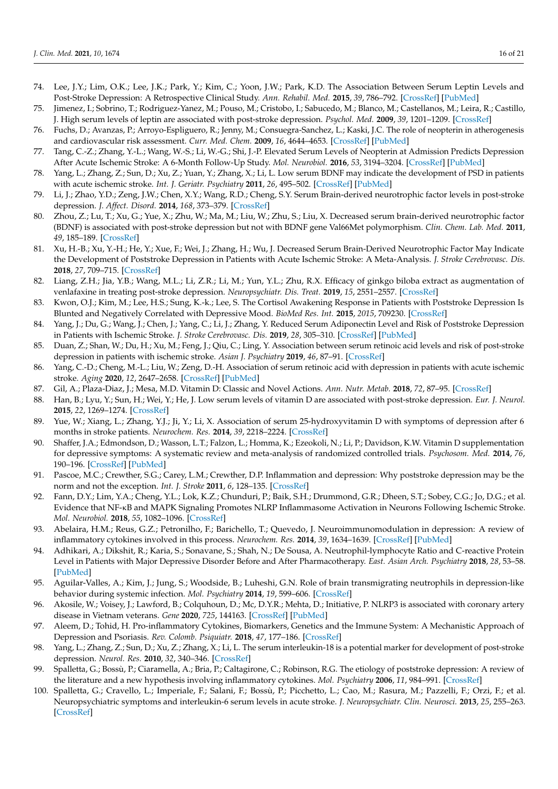- <span id="page-15-1"></span>74. Lee, J.Y.; Lim, O.K.; Lee, J.K.; Park, Y.; Kim, C.; Yoon, J.W.; Park, K.D. The Association Between Serum Leptin Levels and Post-Stroke Depression: A Retrospective Clinical Study. *Ann. Rehabil. Med.* **2015**, *39*, 786–792. [\[CrossRef\]](http://doi.org/10.5535/arm.2015.39.5.786) [\[PubMed\]](http://www.ncbi.nlm.nih.gov/pubmed/26605177)
- <span id="page-15-0"></span>75. Jimenez, I.; Sobrino, T.; Rodriguez-Yanez, M.; Pouso, M.; Cristobo, I.; Sabucedo, M.; Blanco, M.; Castellanos, M.; Leira, R.; Castillo, J. High serum levels of leptin are associated with post-stroke depression. *Psychol. Med.* **2009**, *39*, 1201–1209. [\[CrossRef\]](http://doi.org/10.1017/S0033291709005637)
- <span id="page-15-2"></span>76. Fuchs, D.; Avanzas, P.; Arroyo-Espliguero, R.; Jenny, M.; Consuegra-Sanchez, L.; Kaski, J.C. The role of neopterin in atherogenesis and cardiovascular risk assessment. *Curr. Med. Chem.* **2009**, *16*, 4644–4653. [\[CrossRef\]](http://doi.org/10.2174/092986709789878247) [\[PubMed\]](http://www.ncbi.nlm.nih.gov/pubmed/19903144)
- <span id="page-15-3"></span>77. Tang, C.-Z.; Zhang, Y.-L.; Wang, W.-S.; Li, W.-G.; Shi, J.-P. Elevated Serum Levels of Neopterin at Admission Predicts Depression After Acute Ischemic Stroke: A 6-Month Follow-Up Study. *Mol. Neurobiol.* **2016**, *53*, 3194–3204. [\[CrossRef\]](http://doi.org/10.1007/s12035-015-9220-4) [\[PubMed\]](http://www.ncbi.nlm.nih.gov/pubmed/26041659)
- <span id="page-15-4"></span>78. Yang, L.; Zhang, Z.; Sun, D.; Xu, Z.; Yuan, Y.; Zhang, X.; Li, L. Low serum BDNF may indicate the development of PSD in patients with acute ischemic stroke. *Int. J. Geriatr. Psychiatry* **2011**, *26*, 495–502. [\[CrossRef\]](http://doi.org/10.1002/gps.2552) [\[PubMed\]](http://www.ncbi.nlm.nih.gov/pubmed/20845405)
- <span id="page-15-5"></span>79. Li, J.; Zhao, Y.D.; Zeng, J.W.; Chen, X.Y.; Wang, R.D.; Cheng, S.Y. Serum Brain-derived neurotrophic factor levels in post-stroke depression. *J. Affect. Disord.* **2014**, *168*, 373–379. [\[CrossRef\]](http://doi.org/10.1016/j.jad.2014.07.011)
- 80. Zhou, Z.; Lu, T.; Xu, G.; Yue, X.; Zhu, W.; Ma, M.; Liu, W.; Zhu, S.; Liu, X. Decreased serum brain-derived neurotrophic factor (BDNF) is associated with post-stroke depression but not with BDNF gene Val66Met polymorphism. *Clin. Chem. Lab. Med.* **2011**, *49*, 185–189. [\[CrossRef\]](http://doi.org/10.1515/CCLM.2011.039)
- <span id="page-15-6"></span>81. Xu, H.-B.; Xu, Y.-H.; He, Y.; Xue, F.; Wei, J.; Zhang, H.; Wu, J. Decreased Serum Brain-Derived Neurotrophic Factor May Indicate the Development of Poststroke Depression in Patients with Acute Ischemic Stroke: A Meta-Analysis. *J. Stroke Cerebrovasc. Dis.* **2018**, *27*, 709–715. [\[CrossRef\]](http://doi.org/10.1016/j.jstrokecerebrovasdis.2017.10.003)
- <span id="page-15-7"></span>82. Liang, Z.H.; Jia, Y.B.; Wang, M.L.; Li, Z.R.; Li, M.; Yun, Y.L.; Zhu, R.X. Efficacy of ginkgo biloba extract as augmentation of venlafaxine in treating post-stroke depression. *Neuropsychiatr. Dis. Treat.* **2019**, *15*, 2551–2557. [\[CrossRef\]](http://doi.org/10.2147/NDT.S215191)
- <span id="page-15-8"></span>83. Kwon, O.J.; Kim, M.; Lee, H.S.; Sung, K.-k.; Lee, S. The Cortisol Awakening Response in Patients with Poststroke Depression Is Blunted and Negatively Correlated with Depressive Mood. *BioMed Res. Int.* **2015**, *2015*, 709230. [\[CrossRef\]](http://doi.org/10.1155/2015/709230)
- <span id="page-15-9"></span>84. Yang, J.; Du, G.; Wang, J.; Chen, J.; Yang, C.; Li, J.; Zhang, Y. Reduced Serum Adiponectin Level and Risk of Poststroke Depression in Patients with Ischemic Stroke. *J. Stroke Cerebrovasc. Dis.* **2019**, *28*, 305–310. [\[CrossRef\]](http://doi.org/10.1016/j.jstrokecerebrovasdis.2018.09.057) [\[PubMed\]](http://www.ncbi.nlm.nih.gov/pubmed/30391327)
- <span id="page-15-10"></span>85. Duan, Z.; Shan, W.; Du, H.; Xu, M.; Feng, J.; Qiu, C.; Ling, Y. Association between serum retinoic acid levels and risk of post-stroke depression in patients with ischemic stroke. *Asian J. Psychiatry* **2019**, *46*, 87–91. [\[CrossRef\]](http://doi.org/10.1016/j.ajp.2019.09.038)
- <span id="page-15-11"></span>86. Yang, C.-D.; Cheng, M.-L.; Liu, W.; Zeng, D.-H. Association of serum retinoic acid with depression in patients with acute ischemic stroke. *Aging* **2020**, *12*, 2647–2658. [\[CrossRef\]](http://doi.org/10.18632/aging.102767) [\[PubMed\]](http://www.ncbi.nlm.nih.gov/pubmed/32040942)
- <span id="page-15-12"></span>87. Gil, A.; Plaza-Diaz, J.; Mesa, M.D. Vitamin D: Classic and Novel Actions. *Ann. Nutr. Metab.* **2018**, *72*, 87–95. [\[CrossRef\]](http://doi.org/10.1159/000486536)
- <span id="page-15-13"></span>88. Han, B.; Lyu, Y.; Sun, H.; Wei, Y.; He, J. Low serum levels of vitamin D are associated with post-stroke depression. *Eur. J. Neurol.* **2015**, *22*, 1269–1274. [\[CrossRef\]](http://doi.org/10.1111/ene.12607)
- <span id="page-15-14"></span>89. Yue, W.; Xiang, L.; Zhang, Y.J.; Ji, Y.; Li, X. Association of serum 25-hydroxyvitamin D with symptoms of depression after 6 months in stroke patients. *Neurochem. Res.* **2014**, *39*, 2218–2224. [\[CrossRef\]](http://doi.org/10.1007/s11064-014-1423-y)
- <span id="page-15-15"></span>90. Shaffer, J.A.; Edmondson, D.; Wasson, L.T.; Falzon, L.; Homma, K.; Ezeokoli, N.; Li, P.; Davidson, K.W. Vitamin D supplementation for depressive symptoms: A systematic review and meta-analysis of randomized controlled trials. *Psychosom. Med.* **2014**, *76*, 190–196. [\[CrossRef\]](http://doi.org/10.1097/PSY.0000000000000044) [\[PubMed\]](http://www.ncbi.nlm.nih.gov/pubmed/24632894)
- <span id="page-15-16"></span>91. Pascoe, M.C.; Crewther, S.G.; Carey, L.M.; Crewther, D.P. Inflammation and depression: Why poststroke depression may be the norm and not the exception. *Int. J. Stroke* **2011**, *6*, 128–135. [\[CrossRef\]](http://doi.org/10.1111/j.1747-4949.2010.00565.x)
- 92. Fann, D.Y.; Lim, Y.A.; Cheng, Y.L.; Lok, K.Z.; Chunduri, P.; Baik, S.H.; Drummond, G.R.; Dheen, S.T.; Sobey, C.G.; Jo, D.G.; et al. Evidence that NF-κB and MAPK Signaling Promotes NLRP Inflammasome Activation in Neurons Following Ischemic Stroke. *Mol. Neurobiol.* **2018**, *55*, 1082–1096. [\[CrossRef\]](http://doi.org/10.1007/s12035-017-0394-9)
- 93. Abelaira, H.M.; Reus, G.Z.; Petronilho, F.; Barichello, T.; Quevedo, J. Neuroimmunomodulation in depression: A review of inflammatory cytokines involved in this process. *Neurochem. Res.* **2014**, *39*, 1634–1639. [\[CrossRef\]](http://doi.org/10.1007/s11064-014-1372-5) [\[PubMed\]](http://www.ncbi.nlm.nih.gov/pubmed/24996933)
- 94. Adhikari, A.; Dikshit, R.; Karia, S.; Sonavane, S.; Shah, N.; De Sousa, A. Neutrophil-lymphocyte Ratio and C-reactive Protein Level in Patients with Major Depressive Disorder Before and After Pharmacotherapy. *East. Asian Arch. Psychiatry* **2018**, *28*, 53–58. [\[PubMed\]](http://www.ncbi.nlm.nih.gov/pubmed/29921741)
- 95. Aguilar-Valles, A.; Kim, J.; Jung, S.; Woodside, B.; Luheshi, G.N. Role of brain transmigrating neutrophils in depression-like behavior during systemic infection. *Mol. Psychiatry* **2014**, *19*, 599–606. [\[CrossRef\]](http://doi.org/10.1038/mp.2013.137)
- 96. Akosile, W.; Voisey, J.; Lawford, B.; Colquhoun, D.; Mc, D.Y.R.; Mehta, D.; Initiative, P. NLRP3 is associated with coronary artery disease in Vietnam veterans. *Gene* **2020**, *725*, 144163. [\[CrossRef\]](http://doi.org/10.1016/j.gene.2019.144163) [\[PubMed\]](http://www.ncbi.nlm.nih.gov/pubmed/31639433)
- <span id="page-15-17"></span>97. Aleem, D.; Tohid, H. Pro-inflammatory Cytokines, Biomarkers, Genetics and the Immune System: A Mechanistic Approach of Depression and Psoriasis. *Rev. Colomb. Psiquiatr.* **2018**, *47*, 177–186. [\[CrossRef\]](http://doi.org/10.1016/j.rcp.2017.03.002)
- <span id="page-15-18"></span>98. Yang, L.; Zhang, Z.; Sun, D.; Xu, Z.; Zhang, X.; Li, L. The serum interleukin-18 is a potential marker for development of post-stroke depression. *Neurol. Res.* **2010**, *32*, 340–346. [\[CrossRef\]](http://doi.org/10.1179/016164110X12656393665080)
- <span id="page-15-19"></span>99. Spalletta, G.; Bossù, P.; Ciaramella, A.; Bria, P.; Caltagirone, C.; Robinson, R.G. The etiology of poststroke depression: A review of the literature and a new hypothesis involving inflammatory cytokines. *Mol. Psychiatry* **2006**, *11*, 984–991. [\[CrossRef\]](http://doi.org/10.1038/sj.mp.4001879)
- <span id="page-15-20"></span>100. Spalletta, G.; Cravello, L.; Imperiale, F.; Salani, F.; Bossù, P.; Picchetto, L.; Cao, M.; Rasura, M.; Pazzelli, F.; Orzi, F.; et al. Neuropsychiatric symptoms and interleukin-6 serum levels in acute stroke. *J. Neuropsychiatr. Clin. Neurosci.* **2013**, *25*, 255–263. [\[CrossRef\]](http://doi.org/10.1176/appi.neuropsych.12120399)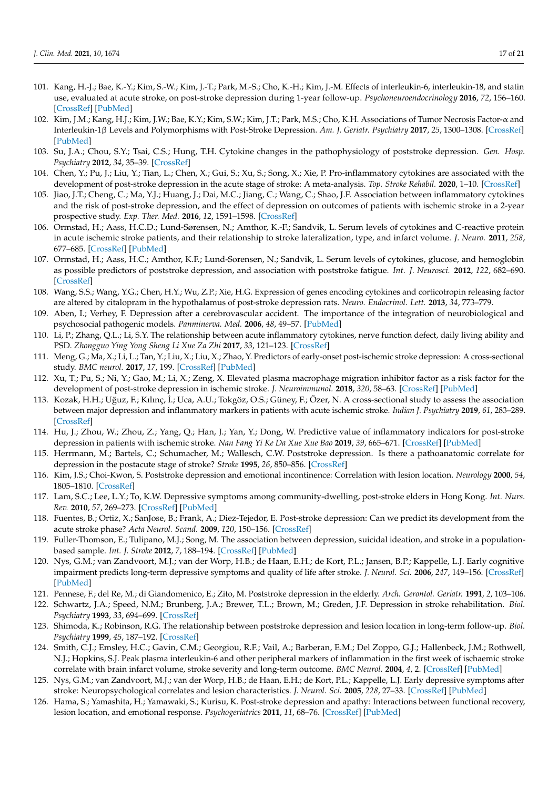- <span id="page-16-0"></span>101. Kang, H.-J.; Bae, K.-Y.; Kim, S.-W.; Kim, J.-T.; Park, M.-S.; Cho, K.-H.; Kim, J.-M. Effects of interleukin-6, interleukin-18, and statin use, evaluated at acute stroke, on post-stroke depression during 1-year follow-up. *Psychoneuroendocrinology* **2016**, *72*, 156–160. [\[CrossRef\]](http://doi.org/10.1016/j.psyneuen.2016.07.001) [\[PubMed\]](http://www.ncbi.nlm.nih.gov/pubmed/27428088)
- <span id="page-16-13"></span>102. Kim, J.M.; Kang, H.J.; Kim, J.W.; Bae, K.Y.; Kim, S.W.; Kim, J.T.; Park, M.S.; Cho, K.H. Associations of Tumor Necrosis Factor-α and Interleukin-1β Levels and Polymorphisms with Post-Stroke Depression. *Am. J. Geriatr. Psychiatry* **2017**, *25*, 1300–1308. [\[CrossRef\]](http://doi.org/10.1016/j.jagp.2017.07.012) [\[PubMed\]](http://www.ncbi.nlm.nih.gov/pubmed/28844626)
- <span id="page-16-11"></span>103. Su, J.A.; Chou, S.Y.; Tsai, C.S.; Hung, T.H. Cytokine changes in the pathophysiology of poststroke depression. *Gen. Hosp. Psychiatry* **2012**, *34*, 35–39. [\[CrossRef\]](http://doi.org/10.1016/j.genhosppsych.2011.09.020)
- <span id="page-16-19"></span>104. Chen, Y.; Pu, J.; Liu, Y.; Tian, L.; Chen, X.; Gui, S.; Xu, S.; Song, X.; Xie, P. Pro-inflammatory cytokines are associated with the development of post-stroke depression in the acute stage of stroke: A meta-analysis. *Top. Stroke Rehabil.* **2020**, 1–10. [\[CrossRef\]](http://doi.org/10.1080/10749357.2020.1846933)
- <span id="page-16-12"></span>105. Jiao, J.T.; Cheng, C.; Ma, Y.J.; Huang, J.; Dai, M.C.; Jiang, C.; Wang, C.; Shao, J.F. Association between inflammatory cytokines and the risk of post-stroke depression, and the effect of depression on outcomes of patients with ischemic stroke in a 2-year prospective study. *Exp. Ther. Med.* **2016**, *12*, 1591–1598. [\[CrossRef\]](http://doi.org/10.3892/etm.2016.3494)
- 106. Ormstad, H.; Aass, H.C.D.; Lund-Sørensen, N.; Amthor, K.-F.; Sandvik, L. Serum levels of cytokines and C-reactive protein in acute ischemic stroke patients, and their relationship to stroke lateralization, type, and infarct volume. *J. Neuro.* **2011**, *258*, 677–685. [\[CrossRef\]](http://doi.org/10.1007/s00415-011-6006-0) [\[PubMed\]](http://www.ncbi.nlm.nih.gov/pubmed/21424610)
- 107. Ormstad, H.; Aass, H.C.; Amthor, K.F.; Lund-Sorensen, N.; Sandvik, L. Serum levels of cytokines, glucose, and hemoglobin as possible predictors of poststroke depression, and association with poststroke fatigue. *Int. J. Neurosci.* **2012**, *122*, 682–690. [\[CrossRef\]](http://doi.org/10.3109/00207454.2012.709892)
- <span id="page-16-1"></span>108. Wang, S.S.; Wang, Y.G.; Chen, H.Y.; Wu, Z.P.; Xie, H.G. Expression of genes encoding cytokines and corticotropin releasing factor are altered by citalopram in the hypothalamus of post-stroke depression rats. *Neuro. Endocrinol. Lett.* **2013**, *34*, 773–779.
- <span id="page-16-2"></span>109. Aben, I.; Verhey, F. Depression after a cerebrovascular accident. The importance of the integration of neurobiological and psychosocial pathogenic models. *Panminerva. Med.* **2006**, *48*, 49–57. [\[PubMed\]](http://www.ncbi.nlm.nih.gov/pubmed/16633332)
- <span id="page-16-14"></span>110. Li, P.; Zhang, Q.L.; Li, S.Y. The relationship between acute inflammatory cytokines, nerve function defect, daily living ability and PSD. *Zhongguo Ying Yong Sheng Li Xue Za Zhi* **2017**, *33*, 121–123. [\[CrossRef\]](http://doi.org/10.12047/j.cjap.5512.2017.031)
- <span id="page-16-15"></span>111. Meng, G.; Ma, X.; Li, L.; Tan, Y.; Liu, X.; Liu, X.; Zhao, Y. Predictors of early-onset post-ischemic stroke depression: A cross-sectional study. *BMC neurol.* **2017**, *17*, 199. [\[CrossRef\]](http://doi.org/10.1186/s12883-017-0980-5) [\[PubMed\]](http://www.ncbi.nlm.nih.gov/pubmed/29149884)
- <span id="page-16-16"></span>112. Xu, T.; Pu, S.; Ni, Y.; Gao, M.; Li, X.; Zeng, X. Elevated plasma macrophage migration inhibitor factor as a risk factor for the development of post-stroke depression in ischemic stroke. *J. Neuroimmunol.* **2018**, *320*, 58–63. [\[CrossRef\]](http://doi.org/10.1016/j.jneuroim.2018.04.003) [\[PubMed\]](http://www.ncbi.nlm.nih.gov/pubmed/29759141)
- <span id="page-16-17"></span>113. Kozak, H.H.; Uğuz, F.; Kılınç, İ.; Uca, A.U.; Tokgöz, O.S.; Güney, F.; Özer, N. A cross-sectional study to assess the association between major depression and inflammatory markers in patients with acute ischemic stroke. *Indian J. Psychiatry* **2019**, *61*, 283–289. [\[CrossRef\]](http://doi.org/10.4103/psychiatry.IndianJPsychiatry_175_18)
- <span id="page-16-18"></span>114. Hu, J.; Zhou, W.; Zhou, Z.; Yang, Q.; Han, J.; Yan, Y.; Dong, W. Predictive value of inflammatory indicators for post-stroke depression in patients with ischemic stroke. *Nan Fang Yi Ke Da Xue Xue Bao* **2019**, *39*, 665–671. [\[CrossRef\]](http://doi.org/10.12122/j.issn.1673-4254.2019.06.06) [\[PubMed\]](http://www.ncbi.nlm.nih.gov/pubmed/31270044)
- <span id="page-16-3"></span>115. Herrmann, M.; Bartels, C.; Schumacher, M.; Wallesch, C.W. Poststroke depression. Is there a pathoanatomic correlate for depression in the postacute stage of stroke? *Stroke* **1995**, *26*, 850–856. [\[CrossRef\]](http://doi.org/10.1161/01.STR.26.5.850)
- 116. Kim, J.S.; Choi-Kwon, S. Poststroke depression and emotional incontinence: Correlation with lesion location. *Neurology* **2000**, *54*, 1805–1810. [\[CrossRef\]](http://doi.org/10.1212/WNL.54.9.1805)
- <span id="page-16-20"></span>117. Lam, S.C.; Lee, L.Y.; To, K.W. Depressive symptoms among community-dwelling, post-stroke elders in Hong Kong. *Int. Nurs. Rev.* **2010**, *57*, 269–273. [\[CrossRef\]](http://doi.org/10.1111/j.1466-7657.2009.00789.x) [\[PubMed\]](http://www.ncbi.nlm.nih.gov/pubmed/20579165)
- <span id="page-16-4"></span>118. Fuentes, B.; Ortiz, X.; SanJose, B.; Frank, A.; Diez-Tejedor, E. Post-stroke depression: Can we predict its development from the acute stroke phase? *Acta Neurol. Scand.* **2009**, *120*, 150–156. [\[CrossRef\]](http://doi.org/10.1111/j.1600-0404.2008.01139.x)
- <span id="page-16-5"></span>119. Fuller-Thomson, E.; Tulipano, M.J.; Song, M. The association between depression, suicidal ideation, and stroke in a populationbased sample. *Int. J. Stroke* **2012**, *7*, 188–194. [\[CrossRef\]](http://doi.org/10.1111/j.1747-4949.2011.00702.x) [\[PubMed\]](http://www.ncbi.nlm.nih.gov/pubmed/22264390)
- <span id="page-16-21"></span>120. Nys, G.M.; van Zandvoort, M.J.; van der Worp, H.B.; de Haan, E.H.; de Kort, P.L.; Jansen, B.P.; Kappelle, L.J. Early cognitive impairment predicts long-term depressive symptoms and quality of life after stroke. *J. Neurol. Sci.* **2006**, *247*, 149–156. [\[CrossRef\]](http://doi.org/10.1016/j.jns.2006.04.005) [\[PubMed\]](http://www.ncbi.nlm.nih.gov/pubmed/16716359)
- <span id="page-16-7"></span>121. Pennese, F.; del Re, M.; di Giandomenico, E.; Zito, M. Poststroke depression in the elderly. *Arch. Gerontol. Geriatr.* **1991**, *2*, 103–106.
- 122. Schwartz, J.A.; Speed, N.M.; Brunberg, J.A.; Brewer, T.L.; Brown, M.; Greden, J.F. Depression in stroke rehabilitation. *Biol. Psychiatry* **1993**, *33*, 694–699. [\[CrossRef\]](http://doi.org/10.1016/0006-3223(93)90118-W)
- <span id="page-16-8"></span>123. Shimoda, K.; Robinson, R.G. The relationship between poststroke depression and lesion location in long-term follow-up. *Biol. Psychiatry* **1999**, *45*, 187–192. [\[CrossRef\]](http://doi.org/10.1016/S0006-3223(98)00178-4)
- <span id="page-16-6"></span>124. Smith, C.J.; Emsley, H.C.; Gavin, C.M.; Georgiou, R.F.; Vail, A.; Barberan, E.M.; Del Zoppo, G.J.; Hallenbeck, J.M.; Rothwell, N.J.; Hopkins, S.J. Peak plasma interleukin-6 and other peripheral markers of inflammation in the first week of ischaemic stroke correlate with brain infarct volume, stroke severity and long-term outcome. *BMC Neurol.* **2004**, *4*, 2. [\[CrossRef\]](http://doi.org/10.1186/1471-2377-4-2) [\[PubMed\]](http://www.ncbi.nlm.nih.gov/pubmed/14725719)
- <span id="page-16-9"></span>125. Nys, G.M.; van Zandvoort, M.J.; van der Worp, H.B.; de Haan, E.H.; de Kort, P.L.; Kappelle, L.J. Early depressive symptoms after stroke: Neuropsychological correlates and lesion characteristics. *J. Neurol. Sci.* **2005**, *228*, 27–33. [\[CrossRef\]](http://doi.org/10.1016/j.jns.2004.09.031) [\[PubMed\]](http://www.ncbi.nlm.nih.gov/pubmed/15607207)
- <span id="page-16-10"></span>126. Hama, S.; Yamashita, H.; Yamawaki, S.; Kurisu, K. Post-stroke depression and apathy: Interactions between functional recovery, lesion location, and emotional response. *Psychogeriatrics* **2011**, *11*, 68–76. [\[CrossRef\]](http://doi.org/10.1111/j.1479-8301.2011.00358.x) [\[PubMed\]](http://www.ncbi.nlm.nih.gov/pubmed/21447112)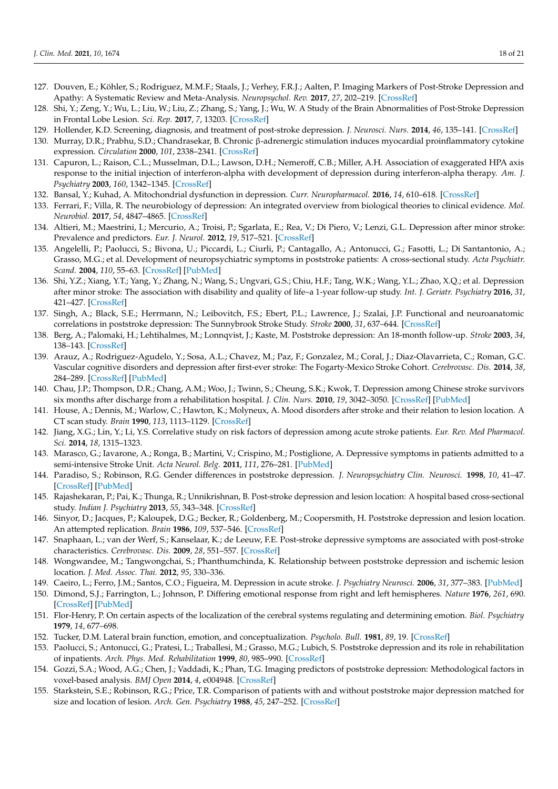- <span id="page-17-0"></span>127. Douven, E.; Köhler, S.; Rodriguez, M.M.F.; Staals, J.; Verhey, F.R.J.; Aalten, P. Imaging Markers of Post-Stroke Depression and Apathy: A Systematic Review and Meta-Analysis. *Neuropsychol. Rev.* **2017**, *27*, 202–219. [\[CrossRef\]](http://doi.org/10.1007/s11065-017-9356-2)
- <span id="page-17-1"></span>128. Shi, Y.; Zeng, Y.; Wu, L.; Liu, W.; Liu, Z.; Zhang, S.; Yang, J.; Wu, W. A Study of the Brain Abnormalities of Post-Stroke Depression in Frontal Lobe Lesion. *Sci. Rep.* **2017**, *7*, 13203. [\[CrossRef\]](http://doi.org/10.1038/s41598-017-13681-w)
- <span id="page-17-2"></span>129. Hollender, K.D. Screening, diagnosis, and treatment of post-stroke depression. *J. Neurosci. Nurs.* **2014**, *46*, 135–141. [\[CrossRef\]](http://doi.org/10.1097/JNN.0000000000000047)
- <span id="page-17-3"></span>130. Murray, D.R.; Prabhu, S.D.; Chandrasekar, B. Chronic β-adrenergic stimulation induces myocardial proinflammatory cytokine expression. *Circulation* **2000**, *101*, 2338–2341. [\[CrossRef\]](http://doi.org/10.1161/01.CIR.101.20.2338)
- <span id="page-17-4"></span>131. Capuron, L.; Raison, C.L.; Musselman, D.L.; Lawson, D.H.; Nemeroff, C.B.; Miller, A.H. Association of exaggerated HPA axis response to the initial injection of interferon-alpha with development of depression during interferon-alpha therapy. *Am. J. Psychiatry* **2003**, *160*, 1342–1345. [\[CrossRef\]](http://doi.org/10.1176/appi.ajp.160.7.1342)
- <span id="page-17-5"></span>132. Bansal, Y.; Kuhad, A. Mitochondrial dysfunction in depression. *Curr. Neuropharmacol.* **2016**, *14*, 610–618. [\[CrossRef\]](http://doi.org/10.2174/1570159X14666160229114755)
- <span id="page-17-6"></span>133. Ferrari, F.; Villa, R. The neurobiology of depression: An integrated overview from biological theories to clinical evidence. *Mol. Neurobiol.* **2017**, *54*, 4847–4865. [\[CrossRef\]](http://doi.org/10.1007/s12035-016-0032-y)
- <span id="page-17-7"></span>134. Altieri, M.; Maestrini, I.; Mercurio, A.; Troisi, P.; Sgarlata, E.; Rea, V.; Di Piero, V.; Lenzi, G.L. Depression after minor stroke: Prevalence and predictors. *Eur. J. Neurol.* **2012**, *19*, 517–521. [\[CrossRef\]](http://doi.org/10.1111/j.1468-1331.2011.03583.x)
- <span id="page-17-8"></span>135. Angelelli, P.; Paolucci, S.; Bivona, U.; Piccardi, L.; Ciurli, P.; Cantagallo, A.; Antonucci, G.; Fasotti, L.; Di Santantonio, A.; Grasso, M.G.; et al. Development of neuropsychiatric symptoms in poststroke patients: A cross-sectional study. *Acta Psychiatr. Scand.* **2004**, *110*, 55–63. [\[CrossRef\]](http://doi.org/10.1111/j.1600-0447.2004.00297.x) [\[PubMed\]](http://www.ncbi.nlm.nih.gov/pubmed/15180780)
- <span id="page-17-9"></span>136. Shi, Y.Z.; Xiang, Y.T.; Yang, Y.; Zhang, N.; Wang, S.; Ungvari, G.S.; Chiu, H.F.; Tang, W.K.; Wang, Y.L.; Zhao, X.Q.; et al. Depression after minor stroke: The association with disability and quality of life–a 1-year follow-up study. *Int. J. Geriatr. Psychiatry* **2016**, *31*, 421–427. [\[CrossRef\]](http://doi.org/10.1002/gps.4353)
- <span id="page-17-14"></span>137. Singh, A.; Black, S.E.; Herrmann, N.; Leibovitch, F.S.; Ebert, P.L.; Lawrence, J.; Szalai, J.P. Functional and neuroanatomic correlations in poststroke depression: The Sunnybrook Stroke Study. *Stroke* **2000**, *31*, 637–644. [\[CrossRef\]](http://doi.org/10.1161/01.STR.31.3.637)
- <span id="page-17-16"></span>138. Berg, A.; Palomaki, H.; Lehtihalmes, M.; Lonnqvist, J.; Kaste, M. Poststroke depression: An 18-month follow-up. *Stroke* **2003**, *34*, 138–143. [\[CrossRef\]](http://doi.org/10.1161/01.STR.0000048149.84268.07)
- 139. Arauz, A.; Rodriguez-Agudelo, Y.; Sosa, A.L.; Chavez, M.; Paz, F.; Gonzalez, M.; Coral, J.; Diaz-Olavarrieta, C.; Roman, G.C. Vascular cognitive disorders and depression after first-ever stroke: The Fogarty-Mexico Stroke Cohort. *Cerebrovasc. Dis.* **2014**, *38*, 284–289. [\[CrossRef\]](http://doi.org/10.1159/000366471) [\[PubMed\]](http://www.ncbi.nlm.nih.gov/pubmed/25412708)
- <span id="page-17-20"></span>140. Chau, J.P.; Thompson, D.R.; Chang, A.M.; Woo, J.; Twinn, S.; Cheung, S.K.; Kwok, T. Depression among Chinese stroke survivors six months after discharge from a rehabilitation hospital. *J. Clin. Nurs.* **2010**, *19*, 3042–3050. [\[CrossRef\]](http://doi.org/10.1111/j.1365-2702.2010.03317.x) [\[PubMed\]](http://www.ncbi.nlm.nih.gov/pubmed/21040011)
- <span id="page-17-21"></span>141. House, A.; Dennis, M.; Warlow, C.; Hawton, K.; Molyneux, A. Mood disorders after stroke and their relation to lesion location. A CT scan study. *Brain* **1990**, *113*, 1113–1129. [\[CrossRef\]](http://doi.org/10.1093/brain/113.4.1113)
- <span id="page-17-17"></span>142. Jiang, X.G.; Lin, Y.; Li, Y.S. Correlative study on risk factors of depression among acute stroke patients. *Eur. Rev. Med Pharmacol. Sci.* **2014**, *18*, 1315–1323.
- 143. Marasco, G.; Iavarone, A.; Ronga, B.; Martini, V.; Crispino, M.; Postiglione, A. Depressive symptoms in patients admitted to a semi-intensive Stroke Unit. *Acta Neurol. Belg.* **2011**, *111*, 276–281. [\[PubMed\]](http://www.ncbi.nlm.nih.gov/pubmed/22368966)
- 144. Paradiso, S.; Robinson, R.G. Gender differences in poststroke depression. *J. Neuropsychiatry Clin. Neurosci.* **1998**, *10*, 41–47. [\[CrossRef\]](http://doi.org/10.1176/jnp.10.1.41) [\[PubMed\]](http://www.ncbi.nlm.nih.gov/pubmed/9547465)
- <span id="page-17-19"></span>145. Rajashekaran, P.; Pai, K.; Thunga, R.; Unnikrishnan, B. Post-stroke depression and lesion location: A hospital based cross-sectional study. *Indian J. Psychiatry* **2013**, *55*, 343–348. [\[CrossRef\]](http://doi.org/10.4103/0019-5545.120546)
- <span id="page-17-18"></span>146. Sinyor, D.; Jacques, P.; Kaloupek, D.G.; Becker, R.; Goldenberg, M.; Coopersmith, H. Poststroke depression and lesion location. An attempted replication. *Brain* **1986**, *109*, 537–546. [\[CrossRef\]](http://doi.org/10.1093/brain/109.3.537)
- <span id="page-17-23"></span>147. Snaphaan, L.; van der Werf, S.; Kanselaar, K.; de Leeuw, F.E. Post-stroke depressive symptoms are associated with post-stroke characteristics. *Cerebrovasc. Dis.* **2009**, *28*, 551–557. [\[CrossRef\]](http://doi.org/10.1159/000247598)
- <span id="page-17-15"></span>148. Wongwandee, M.; Tangwongchai, S.; Phanthumchinda, K. Relationship between poststroke depression and ischemic lesion location. *J. Med. Assoc. Thai.* **2012**, *95*, 330–336.
- 149. Caeiro, L.; Ferro, J.M.; Santos, C.O.; Figueira, M. Depression in acute stroke. *J. Psychiatry Neurosci.* **2006**, *31*, 377–383. [\[PubMed\]](http://www.ncbi.nlm.nih.gov/pubmed/17136215)
- <span id="page-17-24"></span>150. Dimond, S.J.; Farrington, L.; Johnson, P. Differing emotional response from right and left hemispheres. *Nature* **1976**, *261*, 690. [\[CrossRef\]](http://doi.org/10.1038/261690a0) [\[PubMed\]](http://www.ncbi.nlm.nih.gov/pubmed/934311)
- <span id="page-17-10"></span>151. Flor-Henry, P. On certain aspects of the localization of the cerebral systems regulating and determining emotion. *Biol. Psychiatry* **1979**, *14*, 677–698.
- <span id="page-17-11"></span>152. Tucker, D.M. Lateral brain function, emotion, and conceptualization. *Psycholo. Bull.* **1981**, *89*, 19. [\[CrossRef\]](http://doi.org/10.1037/0033-2909.89.1.19)
- <span id="page-17-12"></span>153. Paolucci, S.; Antonucci, G.; Pratesi, L.; Traballesi, M.; Grasso, M.G.; Lubich, S. Poststroke depression and its role in rehabilitation of inpatients. *Arch. Phys. Med. Rehabilitation* **1999**, *80*, 985–990. [\[CrossRef\]](http://doi.org/10.1016/S0003-9993(99)90048-5)
- <span id="page-17-13"></span>154. Gozzi, S.A.; Wood, A.G.; Chen, J.; Vaddadi, K.; Phan, T.G. Imaging predictors of poststroke depression: Methodological factors in voxel-based analysis. *BMJ Open* **2014**, *4*, e004948. [\[CrossRef\]](http://doi.org/10.1136/bmjopen-2014-004948)
- <span id="page-17-22"></span>155. Starkstein, S.E.; Robinson, R.G.; Price, T.R. Comparison of patients with and without poststroke major depression matched for size and location of lesion. *Arch. Gen. Psychiatry* **1988**, *45*, 247–252. [\[CrossRef\]](http://doi.org/10.1001/archpsyc.1988.01800270061007)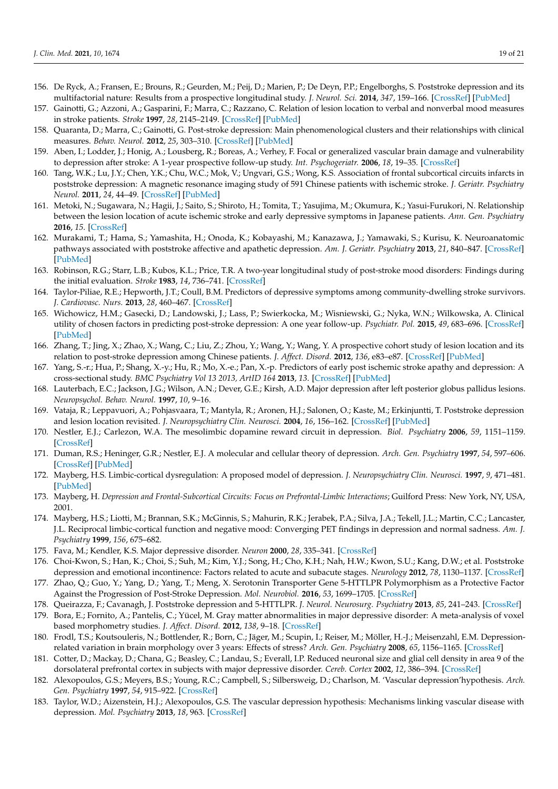- <span id="page-18-0"></span>156. De Ryck, A.; Fransen, E.; Brouns, R.; Geurden, M.; Peij, D.; Marien, P.; De Deyn, P.P.; Engelborghs, S. Poststroke depression and its multifactorial nature: Results from a prospective longitudinal study. *J. Neurol. Sci.* **2014**, *347*, 159–166. [\[CrossRef\]](http://doi.org/10.1016/j.jns.2014.09.038) [\[PubMed\]](http://www.ncbi.nlm.nih.gov/pubmed/25451004)
- <span id="page-18-1"></span>157. Gainotti, G.; Azzoni, A.; Gasparini, F.; Marra, C.; Razzano, C. Relation of lesion location to verbal and nonverbal mood measures in stroke patients. *Stroke* **1997**, *28*, 2145–2149. [\[CrossRef\]](http://doi.org/10.1161/01.STR.28.11.2145) [\[PubMed\]](http://www.ncbi.nlm.nih.gov/pubmed/9368555)
- <span id="page-18-2"></span>158. Quaranta, D.; Marra, C.; Gainotti, G. Post-stroke depression: Main phenomenological clusters and their relationships with clinical measures. *Behav. Neurol.* **2012**, *25*, 303–310. [\[CrossRef\]](http://doi.org/10.1155/2012/501979) [\[PubMed\]](http://www.ncbi.nlm.nih.gov/pubmed/22713379)
- <span id="page-18-3"></span>159. Aben, I.; Lodder, J.; Honig, A.; Lousberg, R.; Boreas, A.; Verhey, F. Focal or generalized vascular brain damage and vulnerability to depression after stroke: A 1-year prospective follow-up study. *Int. Psychogeriatr.* **2006**, *18*, 19–35. [\[CrossRef\]](http://doi.org/10.1017/S104161020500270X)
- <span id="page-18-4"></span>160. Tang, W.K.; Lu, J.Y.; Chen, Y.K.; Chu, W.C.; Mok, V.; Ungvari, G.S.; Wong, K.S. Association of frontal subcortical circuits infarcts in poststroke depression: A magnetic resonance imaging study of 591 Chinese patients with ischemic stroke. *J. Geriatr. Psychiatry Neurol.* **2011**, *24*, 44–49. [\[CrossRef\]](http://doi.org/10.1177/0891988710392375) [\[PubMed\]](http://www.ncbi.nlm.nih.gov/pubmed/21196531)
- <span id="page-18-6"></span>161. Metoki, N.; Sugawara, N.; Hagii, J.; Saito, S.; Shiroto, H.; Tomita, T.; Yasujima, M.; Okumura, K.; Yasui-Furukori, N. Relationship between the lesion location of acute ischemic stroke and early depressive symptoms in Japanese patients. *Ann. Gen. Psychiatry* **2016**, *15*. [\[CrossRef\]](http://doi.org/10.1186/s12991-016-0099-x)
- <span id="page-18-7"></span>162. Murakami, T.; Hama, S.; Yamashita, H.; Onoda, K.; Kobayashi, M.; Kanazawa, J.; Yamawaki, S.; Kurisu, K. Neuroanatomic pathways associated with poststroke affective and apathetic depression. *Am. J. Geriatr. Psychiatry* **2013**, *21*, 840–847. [\[CrossRef\]](http://doi.org/10.1016/j.jagp.2013.01.057) [\[PubMed\]](http://www.ncbi.nlm.nih.gov/pubmed/23567364)
- <span id="page-18-8"></span>163. Robinson, R.G.; Starr, L.B.; Kubos, K.L.; Price, T.R. A two-year longitudinal study of post-stroke mood disorders: Findings during the initial evaluation. *Stroke* **1983**, *14*, 736–741. [\[CrossRef\]](http://doi.org/10.1161/01.STR.14.5.736)
- <span id="page-18-10"></span>164. Taylor-Piliae, R.E.; Hepworth, J.T.; Coull, B.M. Predictors of depressive symptoms among community-dwelling stroke survivors. *J. Cardiovasc. Nurs.* **2013**, *28*, 460–467. [\[CrossRef\]](http://doi.org/10.1097/JCN.0b013e318258ad57)
- <span id="page-18-5"></span>165. Wichowicz, H.M.; Gasecki, D.; Landowski, J.; Lass, P.; Swierkocka, M.; Wisniewski, G.; Nyka, W.N.; Wilkowska, A. Clinical utility of chosen factors in predicting post-stroke depression: A one year follow-up. *Psychiatr. Pol.* **2015**, *49*, 683–696. [\[CrossRef\]](http://doi.org/10.12740/PP/38439) [\[PubMed\]](http://www.ncbi.nlm.nih.gov/pubmed/26488345)
- <span id="page-18-9"></span>166. Zhang, T.; Jing, X.; Zhao, X.; Wang, C.; Liu, Z.; Zhou, Y.; Wang, Y.; Wang, Y. A prospective cohort study of lesion location and its relation to post-stroke depression among Chinese patients. *J. Affect. Disord.* **2012**, *136*, e83–e87. [\[CrossRef\]](http://doi.org/10.1016/j.jad.2011.06.014) [\[PubMed\]](http://www.ncbi.nlm.nih.gov/pubmed/21763001)
- <span id="page-18-11"></span>167. Yang, S.-r.; Hua, P.; Shang, X.-y.; Hu, R.; Mo, X.-e.; Pan, X.-p. Predictors of early post ischemic stroke apathy and depression: A cross-sectional study. *BMC Psychiatry Vol 13 2013, ArtID 164* **2013**, *13*. [\[CrossRef\]](http://doi.org/10.1186/1471-244X-13-164) [\[PubMed\]](http://www.ncbi.nlm.nih.gov/pubmed/23738569)
- <span id="page-18-12"></span>168. Lauterbach, E.C.; Jackson, J.G.; Wilson, A.N.; Dever, G.E.; Kirsh, A.D. Major depression after left posterior globus pallidus lesions. *Neuropsychol. Behav. Neurol.* **1997**, *10*, 9–16.
- <span id="page-18-13"></span>169. Vataja, R.; Leppavuori, A.; Pohjasvaara, T.; Mantyla, R.; Aronen, H.J.; Salonen, O.; Kaste, M.; Erkinjuntti, T. Poststroke depression and lesion location revisited. *J. Neuropsychiatry Clin. Neurosci.* **2004**, *16*, 156–162. [\[CrossRef\]](http://doi.org/10.1176/jnp.16.2.156) [\[PubMed\]](http://www.ncbi.nlm.nih.gov/pubmed/15260366)
- <span id="page-18-14"></span>170. Nestler, E.J.; Carlezon, W.A. The mesolimbic dopamine reward circuit in depression. *Biol. Psychiatry* **2006**, *59*, 1151–1159. [\[CrossRef\]](http://doi.org/10.1016/j.biopsych.2005.09.018)
- <span id="page-18-15"></span>171. Duman, R.S.; Heninger, G.R.; Nestler, E.J. A molecular and cellular theory of depression. *Arch. Gen. Psychiatry* **1997**, *54*, 597–606. [\[CrossRef\]](http://doi.org/10.1001/archpsyc.1997.01830190015002) [\[PubMed\]](http://www.ncbi.nlm.nih.gov/pubmed/9236543)
- <span id="page-18-16"></span>172. Mayberg, H.S. Limbic-cortical dysregulation: A proposed model of depression. *J. Neuropsychiatry Clin. Neurosci.* **1997**, *9*, 471–481. [\[PubMed\]](http://www.ncbi.nlm.nih.gov/pubmed/9276848)
- <span id="page-18-17"></span>173. Mayberg, H. *Depression and Frontal-Subcortical Circuits: Focus on Prefrontal-Limbic Interactions*; Guilford Press: New York, NY, USA, 2001.
- <span id="page-18-18"></span>174. Mayberg, H.S.; Liotti, M.; Brannan, S.K.; McGinnis, S.; Mahurin, R.K.; Jerabek, P.A.; Silva, J.A.; Tekell, J.L.; Martin, C.C.; Lancaster, J.L. Reciprocal limbic-cortical function and negative mood: Converging PET findings in depression and normal sadness. *Am. J. Psychiatry* **1999**, *156*, 675–682.
- <span id="page-18-19"></span>175. Fava, M.; Kendler, K.S. Major depressive disorder. *Neuron* **2000**, *28*, 335–341. [\[CrossRef\]](http://doi.org/10.1016/S0896-6273(00)00112-4)
- <span id="page-18-20"></span>176. Choi-Kwon, S.; Han, K.; Choi, S.; Suh, M.; Kim, Y.J.; Song, H.; Cho, K.H.; Nah, H.W.; Kwon, S.U.; Kang, D.W.; et al. Poststroke depression and emotional incontinence: Factors related to acute and subacute stages. *Neurology* **2012**, *78*, 1130–1137. [\[CrossRef\]](http://doi.org/10.1212/WNL.0b013e31824f8090)
- <span id="page-18-21"></span>177. Zhao, Q.; Guo, Y.; Yang, D.; Yang, T.; Meng, X. Serotonin Transporter Gene 5-HTTLPR Polymorphism as a Protective Factor Against the Progression of Post-Stroke Depression. *Mol. Neurobiol.* **2016**, *53*, 1699–1705. [\[CrossRef\]](http://doi.org/10.1007/s12035-015-9120-7)
- <span id="page-18-22"></span>178. Queirazza, F.; Cavanagh, J. Poststroke depression and 5-HTTLPR. *J. Neurol. Neurosurg. Psychiatry* **2013**, *85*, 241–243. [\[CrossRef\]](http://doi.org/10.1136/jnnp-2012-304149)
- <span id="page-18-25"></span>179. Bora, E.; Fornito, A.; Pantelis, C.; Yücel, M. Gray matter abnormalities in major depressive disorder: A meta-analysis of voxel based morphometry studies. *J. Affect. Disord.* **2012**, *138*, 9–18. [\[CrossRef\]](http://doi.org/10.1016/j.jad.2011.03.049)
- <span id="page-18-23"></span>180. Frodl, T.S.; Koutsouleris, N.; Bottlender, R.; Born, C.; Jäger, M.; Scupin, I.; Reiser, M.; Möller, H.-J.; Meisenzahl, E.M. Depressionrelated variation in brain morphology over 3 years: Effects of stress? *Arch. Gen. Psychiatry* **2008**, *65*, 1156–1165. [\[CrossRef\]](http://doi.org/10.1001/archpsyc.65.10.1156)
- <span id="page-18-24"></span>181. Cotter, D.; Mackay, D.; Chana, G.; Beasley, C.; Landau, S.; Everall, I.P. Reduced neuronal size and glial cell density in area 9 of the dorsolateral prefrontal cortex in subjects with major depressive disorder. *Cereb. Cortex* **2002**, *12*, 386–394. [\[CrossRef\]](http://doi.org/10.1093/cercor/12.4.386)
- <span id="page-18-26"></span>182. Alexopoulos, G.S.; Meyers, B.S.; Young, R.C.; Campbell, S.; Silbersweig, D.; Charlson, M. 'Vascular depression'hypothesis. *Arch. Gen. Psychiatry* **1997**, *54*, 915–922. [\[CrossRef\]](http://doi.org/10.1001/archpsyc.1997.01830220033006)
- <span id="page-18-27"></span>183. Taylor, W.D.; Aizenstein, H.J.; Alexopoulos, G.S. The vascular depression hypothesis: Mechanisms linking vascular disease with depression. *Mol. Psychiatry* **2013**, *18*, 963. [\[CrossRef\]](http://doi.org/10.1038/mp.2013.20)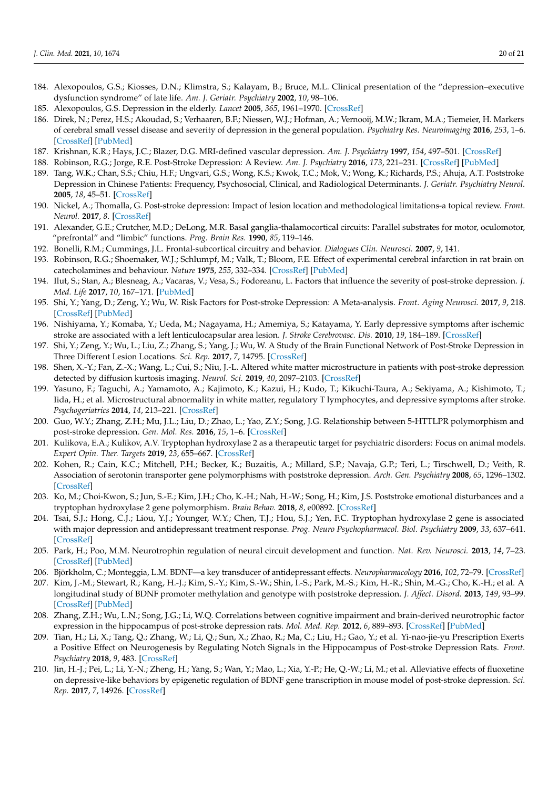- <span id="page-19-0"></span>184. Alexopoulos, G.S.; Kiosses, D.N.; Klimstra, S.; Kalayam, B.; Bruce, M.L. Clinical presentation of the "depression–executive dysfunction syndrome" of late life. *Am. J. Geriatr. Psychiatry* **2002**, *10*, 98–106.
- <span id="page-19-1"></span>185. Alexopoulos, G.S. Depression in the elderly. *Lancet* **2005**, *365*, 1961–1970. [\[CrossRef\]](http://doi.org/10.1016/S0140-6736(05)66665-2)
- <span id="page-19-2"></span>186. Direk, N.; Perez, H.S.; Akoudad, S.; Verhaaren, B.F.; Niessen, W.J.; Hofman, A.; Vernooij, M.W.; Ikram, M.A.; Tiemeier, H. Markers of cerebral small vessel disease and severity of depression in the general population. *Psychiatry Res. Neuroimaging* **2016**, *253*, 1–6. [\[CrossRef\]](http://doi.org/10.1016/j.pscychresns.2016.05.002) [\[PubMed\]](http://www.ncbi.nlm.nih.gov/pubmed/27254084)
- <span id="page-19-3"></span>187. Krishnan, K.R.; Hays, J.C.; Blazer, D.G. MRI-defined vascular depression. *Am. J. Psychiatry* **1997**, *154*, 497–501. [\[CrossRef\]](http://doi.org/10.1176/ajp.154.4.497)
- <span id="page-19-4"></span>188. Robinson, R.G.; Jorge, R.E. Post-Stroke Depression: A Review. *Am. J. Psychiatry* **2016**, *173*, 221–231. [\[CrossRef\]](http://doi.org/10.1176/appi.ajp.2015.15030363) [\[PubMed\]](http://www.ncbi.nlm.nih.gov/pubmed/26684921)
- <span id="page-19-5"></span>189. Tang, W.K.; Chan, S.S.; Chiu, H.F.; Ungvari, G.S.; Wong, K.S.; Kwok, T.C.; Mok, V.; Wong, K.; Richards, P.S.; Ahuja, A.T. Poststroke Depression in Chinese Patients: Frequency, Psychosocial, Clinical, and Radiological Determinants. *J. Geriatr. Psychiatry Neurol.* **2005**, *18*, 45–51. [\[CrossRef\]](http://doi.org/10.1177/0891988704271764)
- <span id="page-19-6"></span>190. Nickel, A.; Thomalla, G. Post-stroke depression: Impact of lesion location and methodological limitations-a topical review. *Front. Neurol.* **2017**, *8*. [\[CrossRef\]](http://doi.org/10.3389/fneur.2017.00498)
- <span id="page-19-7"></span>191. Alexander, G.E.; Crutcher, M.D.; DeLong, M.R. Basal ganglia-thalamocortical circuits: Parallel substrates for motor, oculomotor, "prefrontal" and "limbic" functions. *Prog. Brain Res.* **1990**, *85*, 119–146.
- <span id="page-19-8"></span>192. Bonelli, R.M.; Cummings, J.L. Frontal-subcortical circuitry and behavior. *Dialogues Clin. Neurosci.* **2007**, *9*, 141.
- <span id="page-19-9"></span>193. Robinson, R.G.; Shoemaker, W.J.; Schlumpf, M.; Valk, T.; Bloom, F.E. Effect of experimental cerebral infarction in rat brain on catecholamines and behaviour. *Nature* **1975**, *255*, 332–334. [\[CrossRef\]](http://doi.org/10.1038/255332a0) [\[PubMed\]](http://www.ncbi.nlm.nih.gov/pubmed/1128692)
- <span id="page-19-10"></span>194. Ilut, S.; Stan, A.; Blesneag, A.; Vacaras, V.; Vesa, S.; Fodoreanu, L. Factors that influence the severity of post-stroke depression. *J. Med. Life* **2017**, *10*, 167–171. [\[PubMed\]](http://www.ncbi.nlm.nih.gov/pubmed/29075345)
- <span id="page-19-11"></span>195. Shi, Y.; Yang, D.; Zeng, Y.; Wu, W. Risk Factors for Post-stroke Depression: A Meta-analysis. *Front. Aging Neurosci.* **2017**, *9*, 218. [\[CrossRef\]](http://doi.org/10.3389/fnagi.2017.00218) [\[PubMed\]](http://www.ncbi.nlm.nih.gov/pubmed/28744213)
- <span id="page-19-12"></span>196. Nishiyama, Y.; Komaba, Y.; Ueda, M.; Nagayama, H.; Amemiya, S.; Katayama, Y. Early depressive symptoms after ischemic stroke are associated with a left lenticulocapsular area lesion. *J. Stroke Cerebrovasc. Dis.* **2010**, *19*, 184–189. [\[CrossRef\]](http://doi.org/10.1016/j.jstrokecerebrovasdis.2009.04.002)
- <span id="page-19-13"></span>197. Shi, Y.; Zeng, Y.; Wu, L.; Liu, Z.; Zhang, S.; Yang, J.; Wu, W. A Study of the Brain Functional Network of Post-Stroke Depression in Three Different Lesion Locations. *Sci. Rep.* **2017**, *7*, 14795. [\[CrossRef\]](http://doi.org/10.1038/s41598-017-14675-4)
- <span id="page-19-14"></span>198. Shen, X.-Y.; Fan, Z.-X.; Wang, L.; Cui, S.; Niu, J.-L. Altered white matter microstructure in patients with post-stroke depression detected by diffusion kurtosis imaging. *Neurol. Sci.* **2019**, *40*, 2097–2103. [\[CrossRef\]](http://doi.org/10.1007/s10072-019-03947-8)
- <span id="page-19-15"></span>199. Yasuno, F.; Taguchi, A.; Yamamoto, A.; Kajimoto, K.; Kazui, H.; Kudo, T.; Kikuchi-Taura, A.; Sekiyama, A.; Kishimoto, T.; Iida, H.; et al. Microstructural abnormality in white matter, regulatory T lymphocytes, and depressive symptoms after stroke. *Psychogeriatrics* **2014**, *14*, 213–221. [\[CrossRef\]](http://doi.org/10.1111/psyg.12084)
- <span id="page-19-16"></span>200. Guo, W.Y.; Zhang, Z.H.; Mu, J.L.; Liu, D.; Zhao, L.; Yao, Z.Y.; Song, J.G. Relationship between 5-HTTLPR polymorphism and post-stroke depression. *Gen. Mol. Res.* **2016**, *15*, 1–6. [\[CrossRef\]](http://doi.org/10.4238/gmr.15017460)
- <span id="page-19-17"></span>201. Kulikova, E.A.; Kulikov, A.V. Tryptophan hydroxylase 2 as a therapeutic target for psychiatric disorders: Focus on animal models. *Expert Opin. Ther. Targets* **2019**, *23*, 655–667. [\[CrossRef\]](http://doi.org/10.1080/14728222.2019.1634691)
- <span id="page-19-18"></span>202. Kohen, R.; Cain, K.C.; Mitchell, P.H.; Becker, K.; Buzaitis, A.; Millard, S.P.; Navaja, G.P.; Teri, L.; Tirschwell, D.; Veith, R. Association of serotonin transporter gene polymorphisms with poststroke depression. *Arch. Gen. Psychiatry* **2008**, *65*, 1296–1302. [\[CrossRef\]](http://doi.org/10.1001/archpsyc.65.11.1296)
- <span id="page-19-19"></span>203. Ko, M.; Choi-Kwon, S.; Jun, S.-E.; Kim, J.H.; Cho, K.-H.; Nah, H.-W.; Song, H.; Kim, J.S. Poststroke emotional disturbances and a tryptophan hydroxylase 2 gene polymorphism. *Brain Behav.* **2018**, *8*, e00892. [\[CrossRef\]](http://doi.org/10.1002/brb3.892)
- <span id="page-19-20"></span>204. Tsai, S.J.; Hong, C.J.; Liou, Y.J.; Younger, W.Y.; Chen, T.J.; Hou, S.J.; Yen, F.C. Tryptophan hydroxylase 2 gene is associated with major depression and antidepressant treatment response. *Prog. Neuro Psychopharmacol. Biol. Psychiatry* **2009**, *33*, 637–641. [\[CrossRef\]](http://doi.org/10.1016/j.pnpbp.2009.02.020)
- <span id="page-19-21"></span>205. Park, H.; Poo, M.M. Neurotrophin regulation of neural circuit development and function. *Nat. Rev. Neurosci.* **2013**, *14*, 7–23. [\[CrossRef\]](http://doi.org/10.1038/nrn3379) [\[PubMed\]](http://www.ncbi.nlm.nih.gov/pubmed/23254191)
- <span id="page-19-22"></span>206. Björkholm, C.; Monteggia, L.M. BDNF—a key transducer of antidepressant effects. *Neuropharmacology* **2016**, *102*, 72–79. [\[CrossRef\]](http://doi.org/10.1016/j.neuropharm.2015.10.034)
- <span id="page-19-23"></span>207. Kim, J.-M.; Stewart, R.; Kang, H.-J.; Kim, S.-Y.; Kim, S.-W.; Shin, I.-S.; Park, M.-S.; Kim, H.-R.; Shin, M.-G.; Cho, K.-H.; et al. A longitudinal study of BDNF promoter methylation and genotype with poststroke depression. *J. Affect. Disord.* **2013**, *149*, 93–99. [\[CrossRef\]](http://doi.org/10.1016/j.jad.2013.01.008) [\[PubMed\]](http://www.ncbi.nlm.nih.gov/pubmed/23399480)
- <span id="page-19-24"></span>208. Zhang, Z.H.; Wu, L.N.; Song, J.G.; Li, W.Q. Correlations between cognitive impairment and brain-derived neurotrophic factor expression in the hippocampus of post-stroke depression rats. *Mol. Med. Rep.* **2012**, *6*, 889–893. [\[CrossRef\]](http://doi.org/10.3892/mmr.2012.1009) [\[PubMed\]](http://www.ncbi.nlm.nih.gov/pubmed/22842820)
- <span id="page-19-25"></span>209. Tian, H.; Li, X.; Tang, Q.; Zhang, W.; Li, Q.; Sun, X.; Zhao, R.; Ma, C.; Liu, H.; Gao, Y.; et al. Yi-nao-jie-yu Prescription Exerts a Positive Effect on Neurogenesis by Regulating Notch Signals in the Hippocampus of Post-stroke Depression Rats. *Front. Psychiatry* **2018**, *9*, 483. [\[CrossRef\]](http://doi.org/10.3389/fpsyt.2018.00483)
- <span id="page-19-26"></span>210. Jin, H.-J.; Pei, L.; Li, Y.-N.; Zheng, H.; Yang, S.; Wan, Y.; Mao, L.; Xia, Y.-P.; He, Q.-W.; Li, M.; et al. Alleviative effects of fluoxetine on depressive-like behaviors by epigenetic regulation of BDNF gene transcription in mouse model of post-stroke depression. *Sci. Rep.* **2017**, *7*, 14926. [\[CrossRef\]](http://doi.org/10.1038/s41598-017-13929-5)